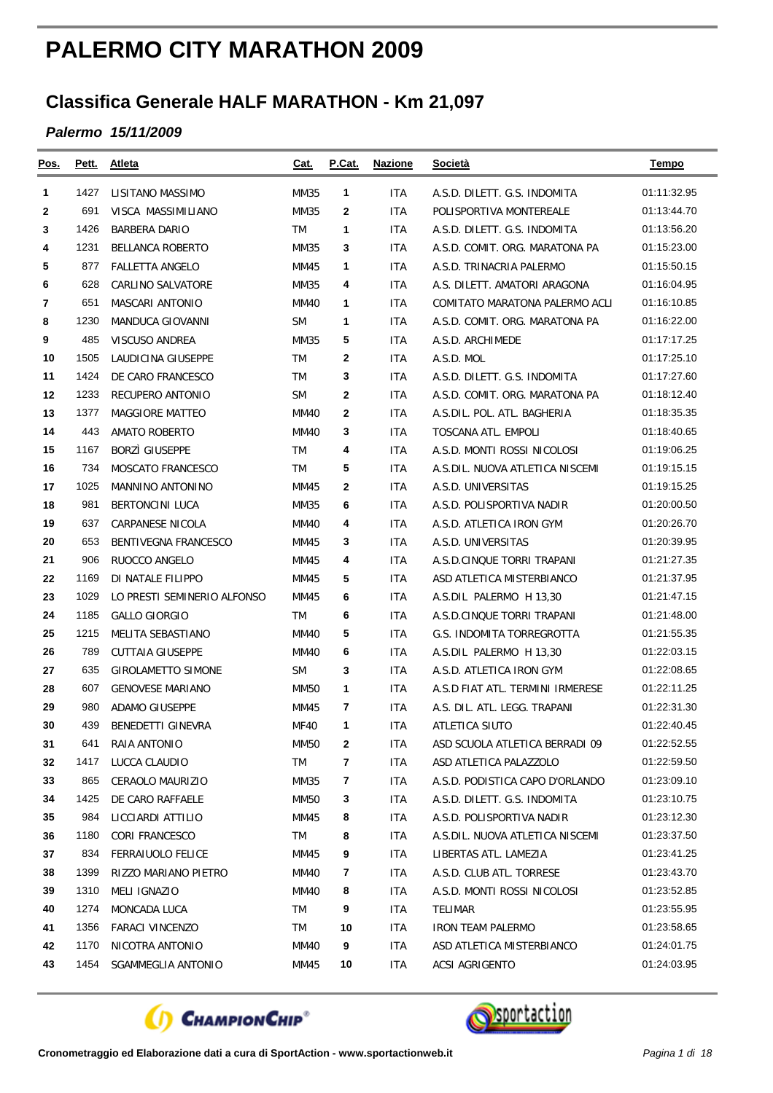## **PALERMO CITY MARATHON 2009**

## **Classifica Generale HALF MARATHON - Km 21,097**

## *Palermo 15/11/2009*

| Pos.         | <u>Pett.</u> | Atleta                      | Cat.        | <b>P.Cat.</b> | <b>Nazione</b> | Società                          | <b>Tempo</b> |
|--------------|--------------|-----------------------------|-------------|---------------|----------------|----------------------------------|--------------|
| 1            | 1427         | LISITANO MASSIMO            | <b>MM35</b> | $\mathbf{1}$  | <b>ITA</b>     | A.S.D. DILETT. G.S. INDOMITA     | 01:11:32.95  |
| $\mathbf{2}$ | 691          | VISCA MASSIMILIANO          | <b>MM35</b> | $\mathbf{2}$  | <b>ITA</b>     | POLISPORTIVA MONTEREALE          | 01:13:44.70  |
| 3            | 1426         | <b>BARBERA DARIO</b>        | <b>TM</b>   | 1             | <b>ITA</b>     | A.S.D. DILETT. G.S. INDOMITA     | 01:13:56.20  |
| 4            | 1231         | <b>BELLANCA ROBERTO</b>     | <b>MM35</b> | 3             | <b>ITA</b>     | A.S.D. COMIT. ORG. MARATONA PA   | 01:15:23.00  |
| 5            | 877          | <b>FALLETTA ANGELO</b>      | <b>MM45</b> | 1             | <b>ITA</b>     | A.S.D. TRINACRIA PALERMO         | 01:15:50.15  |
| 6            | 628          | <b>CARLINO SALVATORE</b>    | <b>MM35</b> | 4             | <b>ITA</b>     | A.S. DILETT. AMATORI ARAGONA     | 01:16:04.95  |
| 7            | 651          | MASCARI ANTONIO             | <b>MM40</b> | $\mathbf{1}$  | ITA            | COMITATO MARATONA PALERMO ACLI   | 01:16:10.85  |
| 8            | 1230         | MANDUCA GIOVANNI            | <b>SM</b>   | 1             | ITA            | A.S.D. COMIT. ORG. MARATONA PA   | 01:16:22.00  |
| 9            | 485          | VISCUSO ANDREA              | MM35        | 5             | ITA            | A.S.D. ARCHIMEDE                 | 01:17:17.25  |
| 10           | 1505         | LAUDICINA GIUSEPPE          | <b>TM</b>   | $\mathbf{2}$  | ITA            | A.S.D. MOL                       | 01:17:25.10  |
| 11           | 1424         | DE CARO FRANCESCO           | <b>TM</b>   | 3             | ITA            | A.S.D. DILETT. G.S. INDOMITA     | 01:17:27.60  |
| 12           | 1233         | RECUPERO ANTONIO            | <b>SM</b>   | 2             | ITA            | A.S.D. COMIT. ORG. MARATONA PA   | 01:18:12.40  |
| 13           | 1377         | <b>MAGGIORE MATTEO</b>      | <b>MM40</b> | 2             | <b>ITA</b>     | A.S.DIL. POL. ATL. BAGHERIA      | 01:18:35.35  |
| 14           | 443          | <b>AMATO ROBERTO</b>        | <b>MM40</b> | 3             | <b>ITA</b>     | <b>TOSCANA ATL. EMPOLI</b>       | 01:18:40.65  |
| 15           | 1167         | <b>BORZI GIUSEPPE</b>       | <b>TM</b>   | 4             | ITA            | A.S.D. MONTI ROSSI NICOLOSI      | 01:19:06.25  |
| 16           | 734          | MOSCATO FRANCESCO           | TM          | 5             | ITA            | A.S.DIL. NUOVA ATLETICA NISCEMI  | 01:19:15.15  |
| 17           | 1025         | MANNINO ANTONINO            | MM45        | $\mathbf{2}$  | <b>ITA</b>     | A.S.D. UNIVERSITAS               | 01:19:15.25  |
| 18           | 981          | <b>BERTONCINI LUCA</b>      | <b>MM35</b> | 6             | ITA            | A.S.D. POLISPORTIVA NADIR        | 01:20:00.50  |
| 19           | 637          | CARPANESE NICOLA            | <b>MM40</b> | 4             | <b>ITA</b>     | A.S.D. ATLETICA IRON GYM         | 01:20:26.70  |
| 20           | 653          | <b>BENTIVEGNA FRANCESCO</b> | MM45        | 3             | ITA            | A.S.D. UNIVERSITAS               | 01:20:39.95  |
| 21           | 906          | RUOCCO ANGELO               | MM45        | 4             | <b>ITA</b>     | A.S.D.CINQUE TORRI TRAPANI       | 01:21:27.35  |
| 22           | 1169         | DI NATALE FILIPPO           | <b>MM45</b> | 5             | <b>ITA</b>     | ASD ATLETICA MISTERBIANCO        | 01:21:37.95  |
| 23           | 1029         | LO PRESTI SEMINERIO ALFONSO | MM45        | 6             | ITA            | A.S.DIL PALERMO H 13,30          | 01:21:47.15  |
| 24           | 1185         | <b>GALLO GIORGIO</b>        | <b>TM</b>   | 6             | <b>ITA</b>     | A.S.D.CINQUE TORRI TRAPANI       | 01:21:48.00  |
| 25           | 1215         | MELITA SEBASTIANO           | <b>MM40</b> | 5             | ITA            | G.S. INDOMITA TORREGROTTA        | 01:21:55.35  |
| 26           | 789          | <b>CUTTAIA GIUSEPPE</b>     | <b>MM40</b> | 6             | ITA            | A.S.DIL PALERMO H 13,30          | 01:22:03.15  |
| 27           | 635          | <b>GIROLAMETTO SIMONE</b>   | <b>SM</b>   | 3             | ITA            | A.S.D. ATLETICA IRON GYM         | 01:22:08.65  |
| 28           | 607          | <b>GENOVESE MARIANO</b>     | MM50        | $\mathbf{1}$  | <b>ITA</b>     | A.S.D FIAT ATL. TERMINI IRMERESE | 01:22:11.25  |
| 29           | 980          | <b>ADAMO GIUSEPPE</b>       | MM45        | 7             | ITA            | A.S. DIL. ATL. LEGG. TRAPANI     | 01:22:31.30  |
| 30           | 439          | BENEDETTI GINEVRA           | <b>MF40</b> | 1             | ITA            | ATLETICA SIUTO                   | 01:22:40.45  |
| 31           | 641          | RAIA ANTONIO                | <b>MM50</b> | $\mathbf{2}$  | <b>ITA</b>     | ASD SCUOLA ATLETICA BERRADI 09   | 01:22:52.55  |
| 32           | 1417         | LUCCA CLAUDIO               | <b>TM</b>   | 7             | ITA            | ASD ATLETICA PALAZZOLO           | 01:22:59.50  |
| 33           | 865          | CERAOLO MAURIZIO            | <b>MM35</b> | 7             | <b>ITA</b>     | A.S.D. PODISTICA CAPO D'ORLANDO  | 01:23:09.10  |
| 34           | 1425         | DE CARO RAFFAELE            | MM50        | 3             | ITA            | A.S.D. DILETT. G.S. INDOMITA     | 01:23:10.75  |
| 35           | 984          | LICCIARDI ATTILIO           | MM45        | 8             | ITA            | A.S.D. POLISPORTIVA NADIR        | 01:23:12.30  |
| 36           | 1180         | <b>CORI FRANCESCO</b>       | TM          | 8             | <b>ITA</b>     | A.S.DIL. NUOVA ATLETICA NISCEMI  | 01:23:37.50  |
| 37           | 834          | <b>FERRAIUOLO FELICE</b>    | MM45        | 9             | ITA            | LIBERTAS ATL. LAMEZIA            | 01:23:41.25  |
| 38           | 1399         | RIZZO MARIANO PIETRO        | MM40        | 7             | ITA            | A.S.D. CLUB ATL. TORRESE         | 01:23:43.70  |
| 39           | 1310         | MELI IGNAZIO                | MM40        | 8             | ITA            | A.S.D. MONTI ROSSI NICOLOSI      | 01:23:52.85  |
| 40           | 1274         | MONCADA LUCA                | TM          | 9             | ITA            | TELIMAR                          | 01:23:55.95  |
| 41           | 1356         | <b>FARACI VINCENZO</b>      | TM          | 10            | ITA            | <b>IRON TEAM PALERMO</b>         | 01:23:58.65  |
| 42           | 1170         | NICOTRA ANTONIO             | MM40        | 9             | ITA            | ASD ATLETICA MISTERBIANCO        | 01:24:01.75  |
| 43           | 1454         | SGAMMEGLIA ANTONIO          | <b>MM45</b> | 10            | ITA            | ACSI AGRIGENTO                   | 01:24:03.95  |



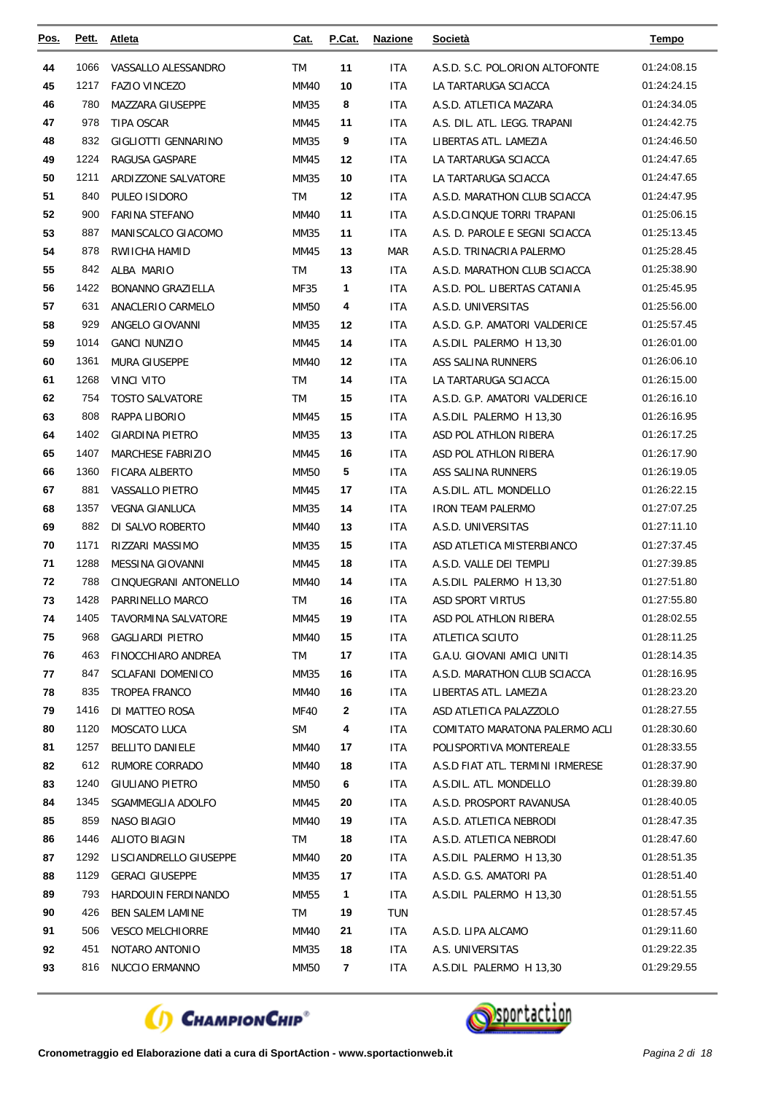| <u>Pos.</u> | Pett. | <b>Atleta</b>              | <u>Cat.</u> | P.Cat. | <b>Nazione</b> | Società                          | <b>Tempo</b> |
|-------------|-------|----------------------------|-------------|--------|----------------|----------------------------------|--------------|
| 44          | 1066  | VASSALLO ALESSANDRO        | <b>TM</b>   | 11     | <b>ITA</b>     | A.S.D. S.C. POL.ORION ALTOFONTE  | 01:24:08.15  |
| 45          | 1217  | <b>FAZIO VINCEZO</b>       | <b>MM40</b> | 10     | <b>ITA</b>     | LA TARTARUGA SCIACCA             | 01:24:24.15  |
| 46          | 780   | MAZZARA GIUSEPPE           | MM35        | 8      | <b>ITA</b>     | A.S.D. ATLETICA MAZARA           | 01:24:34.05  |
| 47          | 978   | TIPA OSCAR                 | MM45        | 11     | ITA            | A.S. DIL. ATL. LEGG. TRAPANI     | 01:24:42.75  |
| 48          | 832   | GIGLIOTTI GENNARINO        | MM35        | 9      | <b>ITA</b>     | LIBERTAS ATL. LAMEZIA            | 01:24:46.50  |
| 49          | 1224  | RAGUSA GASPARE             | MM45        | 12     | ITA            | LA TARTARUGA SCIACCA             | 01:24:47.65  |
| 50          | 1211  | ARDIZZONE SALVATORE        | MM35        | 10     | ITA            | LA TARTARUGA SCIACCA             | 01:24:47.65  |
| 51          | 840   | PULEO ISIDORO              | TM          | 12     | ITA            | A.S.D. MARATHON CLUB SCIACCA     | 01:24:47.95  |
| 52          | 900   | <b>FARINA STEFANO</b>      | <b>MM40</b> | 11     | <b>ITA</b>     | A.S.D.CINQUE TORRI TRAPANI       | 01:25:06.15  |
| 53          | 887   | MANISCALCO GIACOMO         | MM35        | 11     | ITA            | A.S. D. PAROLE E SEGNI SCIACCA   | 01:25:13.45  |
| 54          | 878   | RWIICHA HAMID              | MM45        | 13     | <b>MAR</b>     | A.S.D. TRINACRIA PALERMO         | 01:25:28.45  |
| 55          | 842   | ALBA MARIO                 | TM          | 13     | <b>ITA</b>     | A.S.D. MARATHON CLUB SCIACCA     | 01:25:38.90  |
| 56          | 1422  | <b>BONANNO GRAZIELLA</b>   | MF35        | 1      | ITA            | A.S.D. POL. LIBERTAS CATANIA     | 01:25:45.95  |
| 57          | 631   | ANACLERIO CARMELO          | <b>MM50</b> | 4      | <b>ITA</b>     | A.S.D. UNIVERSITAS               | 01:25:56.00  |
| 58          | 929   | ANGELO GIOVANNI            | MM35        | 12     | ITA            | A.S.D. G.P. AMATORI VALDERICE    | 01:25:57.45  |
| 59          | 1014  | <b>GANCI NUNZIO</b>        | MM45        | 14     | ITA            | A.S.DIL PALERMO H 13,30          | 01:26:01.00  |
| 60          | 1361  | <b>MURA GIUSEPPE</b>       | MM40        | 12     | ITA            | ASS SALINA RUNNERS               | 01:26:06.10  |
| 61          | 1268  | <b>VINCI VITO</b>          | <b>TM</b>   | 14     | ITA            | LA TARTARUGA SCIACCA             | 01:26:15.00  |
| 62          | 754   | <b>TOSTO SALVATORE</b>     | TM          | 15     | ITA            | A.S.D. G.P. AMATORI VALDERICE    | 01:26:16.10  |
| 63          | 808   | RAPPA LIBORIO              | MM45        | 15     | ITA            | A.S.DIL PALERMO H 13,30          | 01:26:16.95  |
| 64          | 1402  | <b>GIARDINA PIETRO</b>     | MM35        | 13     | <b>ITA</b>     | ASD POL ATHLON RIBERA            | 01:26:17.25  |
| 65          | 1407  | MARCHESE FABRIZIO          | MM45        | 16     | <b>ITA</b>     | ASD POL ATHLON RIBERA            | 01:26:17.90  |
| 66          | 1360  | <b>FICARA ALBERTO</b>      | MM50        | 5      | ITA            | ASS SALINA RUNNERS               | 01:26:19.05  |
| 67          | 881   | VASSALLO PIETRO            | MM45        | 17     | ITA            | A.S.DIL. ATL. MONDELLO           | 01:26:22.15  |
| 68          | 1357  | <b>VEGNA GIANLUCA</b>      | MM35        | 14     | <b>ITA</b>     | <b>IRON TEAM PALERMO</b>         | 01:27:07.25  |
| 69          | 882   | DI SALVO ROBERTO           | MM40        | 13     | ITA            | A.S.D. UNIVERSITAS               | 01:27:11.10  |
| 70          | 1171  | RIZZARI MASSIMO            | MM35        | 15     | ITA            | ASD ATLETICA MISTERBIANCO        | 01:27:37.45  |
| 71          | 1288  | MESSINA GIOVANNI           | MM45        | 18     | <b>ITA</b>     | A.S.D. VALLE DEI TEMPLI          | 01:27:39.85  |
| 72          | 788   | CINQUEGRANI ANTONELLO      | MM40        | 14     | ITA            | A.S.DIL PALERMO H 13,30          | 01:27:51.80  |
| 73          | 1428  | PARRINELLO MARCO           | TM          | 16     | ITA            | ASD SPORT VIRTUS                 | 01:27:55.80  |
| 74          | 1405  | <b>TAVORMINA SALVATORE</b> | MM45        | 19     | ITA.           | ASD POL ATHLON RIBERA            | 01:28:02.55  |
| 75          | 968   | <b>GAGLIARDI PIETRO</b>    | <b>MM40</b> | 15     | ITA            | ATLETICA SCIUTO                  | 01:28:11.25  |
| 76          | 463   | FINOCCHIARO ANDREA         | TM          | 17     | ITA.           | G.A.U. GIOVANI AMICI UNITI       | 01:28:14.35  |
| 77          | 847   | <b>SCLAFANI DOMENICO</b>   | MM35        | 16     | ITA            | A.S.D. MARATHON CLUB SCIACCA     | 01:28:16.95  |
| 78          | 835   | TROPEA FRANCO              | MM40        | 16     | <b>ITA</b>     | LIBERTAS ATL. LAMEZIA            | 01:28:23.20  |
| 79          | 1416  | DI MATTEO ROSA             | MF40        | 2      | ITA            | ASD ATLETICA PALAZZOLO           | 01:28:27.55  |
| 80          | 1120  | MOSCATO LUCA               | <b>SM</b>   | 4      | <b>ITA</b>     | COMITATO MARATONA PALERMO ACLI   | 01:28:30.60  |
| 81          | 1257  | <b>BELLITO DANIELE</b>     | MM40        | 17     | ITA.           | POLISPORTIVA MONTEREALE          | 01:28:33.55  |
| 82          | 612   | RUMORE CORRADO             | MM40        | 18     | ITA            | A.S.D FIAT ATL. TERMINI IRMERESE | 01:28:37.90  |
| 83          | 1240  | GIULIANO PIETRO            | MM50        | 6      | ITA.           | A.S.DIL. ATL. MONDELLO           | 01:28:39.80  |
| 84          | 1345  | SGAMMEGLIA ADOLFO          | MM45        | 20     | ITA            | A.S.D. PROSPORT RAVANUSA         | 01:28:40.05  |
| 85          | 859   | NASO BIAGIO                | MM40        | 19     | <b>ITA</b>     | A.S.D. ATLETICA NEBRODI          | 01:28:47.35  |
| 86          | 1446  | ALIOTO BIAGIN              | TM          | 18     | <b>ITA</b>     | A.S.D. ATLETICA NEBRODI          | 01:28:47.60  |
| 87          | 1292  | LISCIANDRELLO GIUSEPPE     | MM40        | 20     | ITA            | A.S.DIL PALERMO H 13,30          | 01:28:51.35  |
| 88          | 1129  | <b>GERACI GIUSEPPE</b>     | MM35        | 17     | <b>ITA</b>     | A.S.D. G.S. AMATORI PA           | 01:28:51.40  |
| 89          | 793   | HARDOUIN FERDINANDO        | MM55        | 1      | <b>ITA</b>     | A.S.DIL PALERMO H 13,30          | 01:28:51.55  |
| 90          | 426   | <b>BEN SALEM LAMINE</b>    | TM          | 19     | <b>TUN</b>     |                                  | 01:28:57.45  |
| 91          | 506   | <b>VESCO MELCHIORRE</b>    | MM40        | 21     | ITA            | A.S.D. LIPA ALCAMO               | 01:29:11.60  |
| 92          | 451   | NOTARO ANTONIO             | MM35        | 18     | <b>ITA</b>     | A.S. UNIVERSITAS                 | 01:29:22.35  |
| 93          | 816   | NUCCIO ERMANNO             | MM50        | 7      | ITA            | A.S.DIL PALERMO H 13,30          | 01:29:29.55  |



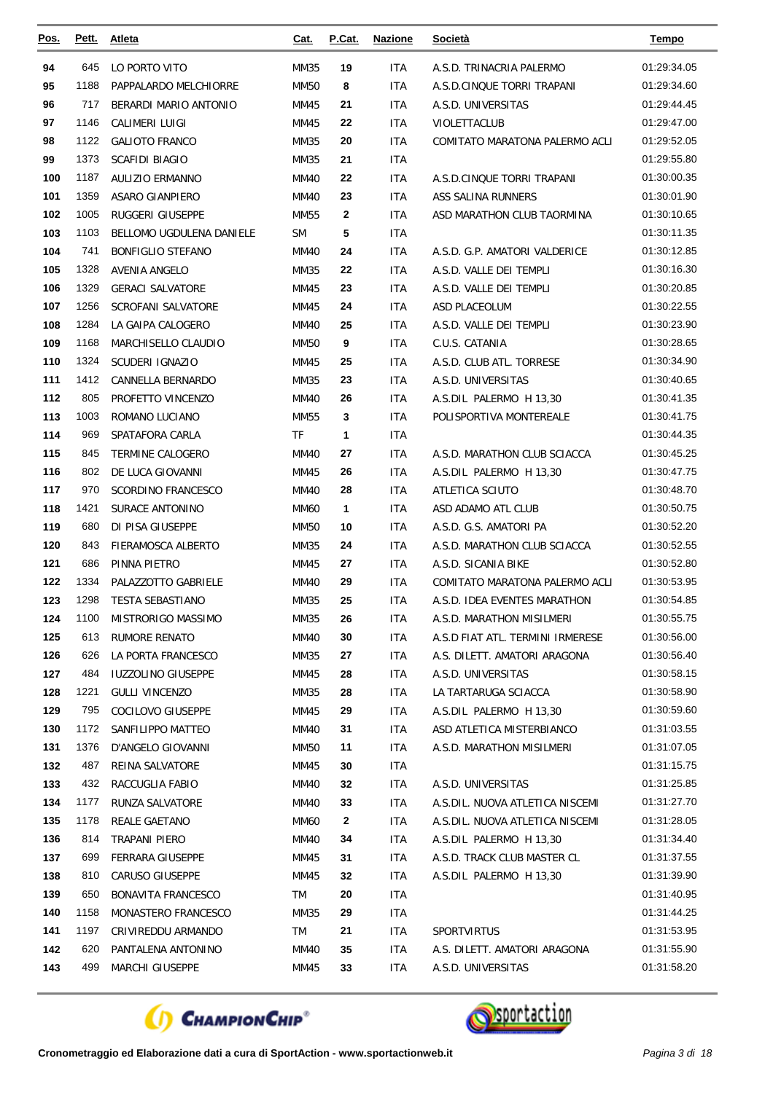| Pos. | Pett. | <b>Atleta</b>             | <u>Cat.</u> | P.Cat.       | <b>Nazione</b> | <u>Società</u>                   | <b>Tempo</b> |
|------|-------|---------------------------|-------------|--------------|----------------|----------------------------------|--------------|
| 94   | 645   | LO PORTO VITO             | <b>MM35</b> | 19           | <b>ITA</b>     | A.S.D. TRINACRIA PALERMO         | 01:29:34.05  |
| 95   | 1188  | PAPPALARDO MELCHIORRE     | <b>MM50</b> | 8            | <b>ITA</b>     | A.S.D.CINQUE TORRI TRAPANI       | 01:29:34.60  |
| 96   | 717   | BERARDI MARIO ANTONIO     | MM45        | 21           | <b>ITA</b>     | A.S.D. UNIVERSITAS               | 01:29:44.45  |
| 97   | 1146  | CALIMERI LUIGI            | MM45        | 22           | <b>ITA</b>     | VIOLETTACLUB                     | 01:29:47.00  |
| 98   | 1122  | <b>GALIOTO FRANCO</b>     | MM35        | 20           | <b>ITA</b>     | COMITATO MARATONA PALERMO ACLI   | 01:29:52.05  |
| 99   | 1373  | <b>SCAFIDI BIAGIO</b>     | MM35        | 21           | <b>ITA</b>     |                                  | 01:29:55.80  |
| 100  | 1187  | AULIZIO ERMANNO           | <b>MM40</b> | 22           | ITA            | A.S.D.CINQUE TORRI TRAPANI       | 01:30:00.35  |
| 101  | 1359  | <b>ASARO GIANPIERO</b>    | <b>MM40</b> | 23           | ITA            | ASS SALINA RUNNERS               | 01:30:01.90  |
| 102  | 1005  | RUGGERI GIUSEPPE          | MM55        | $\mathbf{2}$ | <b>ITA</b>     | ASD MARATHON CLUB TAORMINA       | 01:30:10.65  |
| 103  | 1103  | BELLOMO UGDULENA DANIELE  | <b>SM</b>   | 5            | <b>ITA</b>     |                                  | 01:30:11.35  |
| 104  | 741   | <b>BONFIGLIO STEFANO</b>  | MM40        | 24           | ITA            | A.S.D. G.P. AMATORI VALDERICE    | 01:30:12.85  |
| 105  | 1328  | <b>AVENIA ANGELO</b>      | MM35        | 22           | <b>ITA</b>     | A.S.D. VALLE DEI TEMPLI          | 01:30:16.30  |
| 106  | 1329  | <b>GERACI SALVATORE</b>   | MM45        | 23           | ITA            | A.S.D. VALLE DEI TEMPLI          | 01:30:20.85  |
| 107  | 1256  | <b>SCROFANI SALVATORE</b> | MM45        | 24           | <b>ITA</b>     | ASD PLACEOLUM                    | 01:30:22.55  |
| 108  | 1284  | LA GAIPA CALOGERO         | MM40        | 25           | <b>ITA</b>     | A.S.D. VALLE DEI TEMPLI          | 01:30:23.90  |
| 109  | 1168  | MARCHISELLO CLAUDIO       | <b>MM50</b> | 9            | ITA            | C.U.S. CATANIA                   | 01:30:28.65  |
| 110  | 1324  | SCUDERI IGNAZIO           | MM45        | 25           | <b>ITA</b>     | A.S.D. CLUB ATL. TORRESE         | 01:30:34.90  |
| 111  | 1412  | CANNELLA BERNARDO         | MM35        | 23           | <b>ITA</b>     | A.S.D. UNIVERSITAS               | 01:30:40.65  |
| 112  | 805   | PROFETTO VINCENZO         | <b>MM40</b> | 26           | ITA            | A.S.DIL PALERMO H 13,30          | 01:30:41.35  |
| 113  | 1003  | ROMANO LUCIANO            | MM55        | 3            | ITA            | POLISPORTIVA MONTEREALE          | 01:30:41.75  |
| 114  | 969   | SPATAFORA CARLA           | TF          | $\mathbf{1}$ | <b>ITA</b>     |                                  | 01:30:44.35  |
| 115  | 845   | <b>TERMINE CALOGERO</b>   | <b>MM40</b> | 27           | ITA            | A.S.D. MARATHON CLUB SCIACCA     | 01:30:45.25  |
| 116  | 802   | DE LUCA GIOVANNI          | MM45        | 26           | ITA            | A.S.DIL PALERMO H 13,30          | 01:30:47.75  |
| 117  | 970   | SCORDINO FRANCESCO        | <b>MM40</b> | 28           | <b>ITA</b>     | ATLETICA SCIUTO                  | 01:30:48.70  |
| 118  | 1421  | SURACE ANTONINO           | <b>MM60</b> | 1            | <b>ITA</b>     | ASD ADAMO ATL CLUB               | 01:30:50.75  |
| 119  | 680   | DI PISA GIUSEPPE          | MM50        | 10           | <b>ITA</b>     | A.S.D. G.S. AMATORI PA           | 01:30:52.20  |
| 120  | 843   | FIERAMOSCA ALBERTO        | MM35        | 24           | <b>ITA</b>     | A.S.D. MARATHON CLUB SCIACCA     | 01:30:52.55  |
| 121  | 686   | PINNA PIETRO              | MM45        | 27           | <b>ITA</b>     | A.S.D. SICANIA BIKE              | 01:30:52.80  |
| 122  | 1334  | PALAZZOTTO GABRIELE       | MM40        | 29           | ITA            | COMITATO MARATONA PALERMO ACLI   | 01:30:53.95  |
| 123  | 1298  | <b>TESTA SEBASTIANO</b>   | MM35        | 25           | ITA            | A.S.D. IDEA EVENTES MARATHON     | 01:30:54.85  |
| 124  | 1100  | MISTRORIGO MASSIMO        | MM35        | 26           | <b>ITA</b>     | A.S.D. MARATHON MISILMERI        | 01:30:55.75  |
| 125  | 613   | <b>RUMORE RENATO</b>      | <b>MM40</b> | 30           | <b>ITA</b>     | A.S.D FIAT ATL. TERMINI IRMERESE | 01:30:56.00  |
| 126  | 626   | LA PORTA FRANCESCO        | MM35        | 27           | ITA.           | A.S. DILETT. AMATORI ARAGONA     | 01:30:56.40  |
| 127  | 484   | <b>IUZZOLINO GIUSEPPE</b> | MM45        | 28           | <b>ITA</b>     | A.S.D. UNIVERSITAS               | 01:30:58.15  |
| 128  | 1221  | <b>GULLI VINCENZO</b>     | MM35        | 28           | <b>ITA</b>     | LA TARTARUGA SCIACCA             | 01:30:58.90  |
| 129  | 795   | COCILOVO GIUSEPPE         | MM45        | 29           | ITA.           | A.S.DIL PALERMO H 13,30          | 01:30:59.60  |
| 130  | 1172  | SANFILIPPO MATTEO         | MM40        | 31           | ITA            | ASD ATLETICA MISTERBIANCO        | 01:31:03.55  |
| 131  | 1376  | D'ANGELO GIOVANNI         | MM50        | 11           | ITA            | A.S.D. MARATHON MISILMERI        | 01:31:07.05  |
| 132  | 487   | REINA SALVATORE           | MM45        | 30           | <b>ITA</b>     |                                  | 01:31:15.75  |
| 133  | 432   | RACCUGLIA FABIO           | MM40        | 32           | ITA.           | A.S.D. UNIVERSITAS               | 01:31:25.85  |
| 134  | 1177  | RUNZA SALVATORE           | MM40        | 33           | <b>ITA</b>     | A.S.DIL. NUOVA ATLETICA NISCEMI  | 01:31:27.70  |
| 135  | 1178  | REALE GAETANO             | MM60        | 2            | <b>ITA</b>     | A.S.DIL. NUOVA ATLETICA NISCEMI  | 01:31:28.05  |
| 136  | 814   | TRAPANI PIERO             | MM40        | 34           | ITA.           | A.S.DIL PALERMO H 13,30          | 01:31:34.40  |
| 137  | 699   | FERRARA GIUSEPPE          | MM45        | 31           | ITA.           | A.S.D. TRACK CLUB MASTER CL      | 01:31:37.55  |
| 138  | 810   | <b>CARUSO GIUSEPPE</b>    | MM45        | 32           | <b>ITA</b>     | A.S.DIL PALERMO H 13,30          | 01:31:39.90  |
| 139  | 650   | <b>BONAVITA FRANCESCO</b> | TM          | 20           | <b>ITA</b>     |                                  | 01:31:40.95  |
| 140  | 1158  | MONASTERO FRANCESCO       | MM35        | 29           | <b>ITA</b>     |                                  | 01:31:44.25  |
| 141  | 1197  | CRIVIREDDU ARMANDO        | TM          | 21           | <b>ITA</b>     | <b>SPORTVIRTUS</b>               | 01:31:53.95  |
| 142  | 620   | PANTALENA ANTONINO        | MM40        | 35           | <b>ITA</b>     | A.S. DILETT. AMATORI ARAGONA     | 01:31:55.90  |
| 143  | 499   | MARCHI GIUSEPPE           | MM45        | 33           | ITA.           | A.S.D. UNIVERSITAS               | 01:31:58.20  |



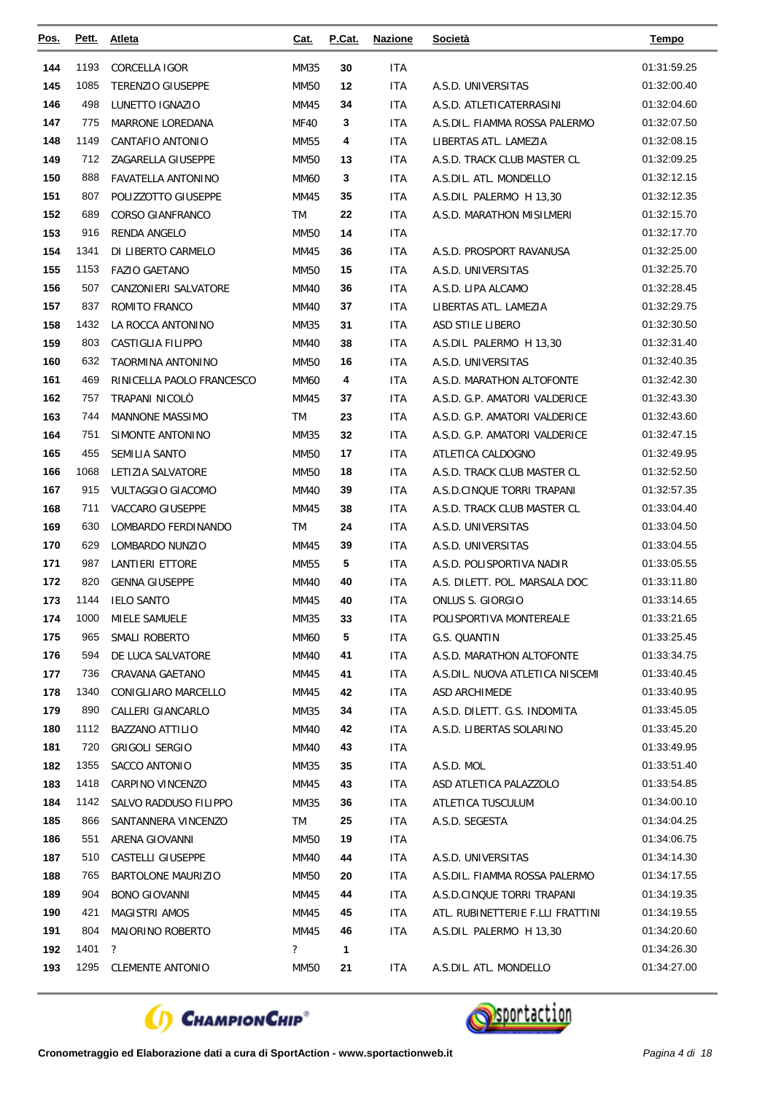| <u>Pos.</u> | Pett. | <b>Atleta</b>             | Cat.                     | P.Cat. | <b>Nazione</b> | <b>Società</b>                   | <b>Tempo</b> |
|-------------|-------|---------------------------|--------------------------|--------|----------------|----------------------------------|--------------|
| 144         | 1193  | <b>CORCELLA IGOR</b>      | MM35                     | 30     | <b>ITA</b>     |                                  | 01:31:59.25  |
| 145         | 1085  | <b>TERENZIO GIUSEPPE</b>  | <b>MM50</b>              | 12     | <b>ITA</b>     | A.S.D. UNIVERSITAS               | 01:32:00.40  |
| 146         | 498   | LUNETTO IGNAZIO           | MM45                     | 34     | ITA            | A.S.D. ATLETICATERRASINI         | 01:32:04.60  |
| 147         | 775   | <b>MARRONE LOREDANA</b>   | <b>MF40</b>              | 3      | <b>ITA</b>     | A.S.DIL. FIAMMA ROSSA PALERMO    | 01:32:07.50  |
| 148         | 1149  | CANTAFIO ANTONIO          | MM55                     | 4      | ITA            | LIBERTAS ATL. LAMEZIA            | 01:32:08.15  |
| 149         | 712   | ZAGARELLA GIUSEPPE        | <b>MM50</b>              | 13     | <b>ITA</b>     | A.S.D. TRACK CLUB MASTER CL      | 01:32:09.25  |
| 150         | 888   | <b>FAVATELLA ANTONINO</b> | MM60                     | 3      | ITA            | A.S.DIL. ATL. MONDELLO           | 01:32:12.15  |
| 151         | 807   | POLIZZOTTO GIUSEPPE       | MM45                     | 35     | ITA            | A.S.DIL PALERMO H 13,30          | 01:32:12.35  |
| 152         | 689   | <b>CORSO GIANFRANCO</b>   | TM                       | 22     | <b>ITA</b>     | A.S.D. MARATHON MISILMERI        | 01:32:15.70  |
| 153         | 916   | RENDA ANGELO              | <b>MM50</b>              | 14     | <b>ITA</b>     |                                  | 01:32:17.70  |
| 154         | 1341  | DI LIBERTO CARMELO        | MM45                     | 36     | ITA            | A.S.D. PROSPORT RAVANUSA         | 01:32:25.00  |
| 155         | 1153  | <b>FAZIO GAETANO</b>      | <b>MM50</b>              | 15     | ITA            | A.S.D. UNIVERSITAS               | 01:32:25.70  |
| 156         | 507   | CANZONIERI SALVATORE      | <b>MM40</b>              | 36     | ITA            | A.S.D. LIPA ALCAMO               | 01:32:28.45  |
| 157         | 837   | ROMITO FRANCO             | <b>MM40</b>              | 37     | ITA            | LIBERTAS ATL. LAMEZIA            | 01:32:29.75  |
| 158         | 1432  | LA ROCCA ANTONINO         | MM35                     | 31     | <b>ITA</b>     | ASD STILE LIBERO                 | 01:32:30.50  |
| 159         | 803   | <b>CASTIGLIA FILIPPO</b>  | MM40                     | 38     | <b>ITA</b>     | A.S.DIL PALERMO H 13,30          | 01:32:31.40  |
| 160         | 632   | TAORMINA ANTONINO         | <b>MM50</b>              | 16     | <b>ITA</b>     | A.S.D. UNIVERSITAS               | 01:32:40.35  |
| 161         | 469   | RINICELLA PAOLO FRANCESCO | <b>MM60</b>              | 4      | <b>ITA</b>     | A.S.D. MARATHON ALTOFONTE        | 01:32:42.30  |
| 162         | 757   | TRAPANI NICOLO            | MM45                     | 37     | ITA            | A.S.D. G.P. AMATORI VALDERICE    | 01:32:43.30  |
| 163         | 744   | <b>MANNONE MASSIMO</b>    | TM                       | 23     | <b>ITA</b>     | A.S.D. G.P. AMATORI VALDERICE    | 01:32:43.60  |
| 164         | 751   | SIMONTE ANTONINO          | MM35                     | 32     | ITA            | A.S.D. G.P. AMATORI VALDERICE    | 01:32:47.15  |
| 165         | 455   | SEMILIA SANTO             | <b>MM50</b>              | 17     | ITA            | ATLETICA CALDOGNO                | 01:32:49.95  |
| 166         | 1068  | LETIZIA SALVATORE         | <b>MM50</b>              | 18     | <b>ITA</b>     | A.S.D. TRACK CLUB MASTER CL      | 01:32:52.50  |
| 167         | 915   | <b>VULTAGGIO GIACOMO</b>  | <b>MM40</b>              | 39     | ITA            | A.S.D.CINQUE TORRI TRAPANI       | 01:32:57.35  |
| 168         | 711   | <b>VACCARO GIUSEPPE</b>   | MM45                     | 38     | <b>ITA</b>     | A.S.D. TRACK CLUB MASTER CL      | 01:33:04.40  |
| 169         | 630   | LOMBARDO FERDINANDO       | <b>TM</b>                | 24     | <b>ITA</b>     | A.S.D. UNIVERSITAS               | 01:33:04.50  |
| 170         | 629   | LOMBARDO NUNZIO           | MM45                     | 39     | <b>ITA</b>     | A.S.D. UNIVERSITAS               | 01:33:04.55  |
| 171         | 987   | <b>LANTIERI ETTORE</b>    | MM55                     | 5      | ITA            | A.S.D. POLISPORTIVA NADIR        | 01:33:05.55  |
| 172         | 820   | <b>GENNA GIUSEPPE</b>     | <b>MM40</b>              | 40     | <b>ITA</b>     | A.S. DILETT. POL. MARSALA DOC    | 01:33:11.80  |
| 173         | 1144  | <b>IELO SANTO</b>         | MM45                     | 40     | <b>ITA</b>     | ONLUS S. GIORGIO                 | 01:33:14.65  |
| 174         | 1000  | <b>MIELE SAMUELE</b>      | <b>MM35</b>              | 33     | <b>ITA</b>     | POLISPORTIVA MONTEREALE          | 01:33:21.65  |
| 175         | 965   | SMALI ROBERTO             | <b>MM60</b>              | 5      | ITA            | G.S. QUANTIN                     | 01:33:25.45  |
| 176         | 594   | DE LUCA SALVATORE         | MM40                     | 41     | ITA            | A.S.D. MARATHON ALTOFONTE        | 01:33:34.75  |
| 177         | 736   | <b>CRAVANA GAETANO</b>    | MM45                     | 41     | <b>ITA</b>     | A.S.DIL. NUOVA ATLETICA NISCEMI  | 01:33:40.45  |
| 178         | 1340  | CONIGLIARO MARCELLO       | MM45                     | 42     | ITA.           | ASD ARCHIMEDE                    | 01:33:40.95  |
| 179         | 890   | CALLERI GIANCARLO         | MM35                     | 34     | <b>ITA</b>     | A.S.D. DILETT. G.S. INDOMITA     | 01:33:45.05  |
| 180         | 1112  | <b>BAZZANO ATTILIO</b>    | MM40                     | 42     | <b>ITA</b>     | A.S.D. LIBERTAS SOLARINO         | 01:33:45.20  |
| 181         | 720   | <b>GRIGOLI SERGIO</b>     | MM40                     | 43     | <b>ITA</b>     |                                  | 01:33:49.95  |
| 182         | 1355  | SACCO ANTONIO             | MM35                     | 35     | ITA.           | A.S.D. MOL                       | 01:33:51.40  |
| 183         | 1418  | CARPINO VINCENZO          | MM45                     | 43     | <b>ITA</b>     | ASD ATLETICA PALAZZOLO           | 01:33:54.85  |
| 184         | 1142  | SALVO RADDUSO FILIPPO     | MM35                     | 36     | <b>ITA</b>     | ATLETICA TUSCULUM                | 01:34:00.10  |
| 185         | 866   | SANTANNERA VINCENZO       | TM                       | 25     | ITA.           | A.S.D. SEGESTA                   | 01:34:04.25  |
| 186         | 551   | ARENA GIOVANNI            | MM50                     | 19     | ITA            |                                  | 01:34:06.75  |
| 187         | 510   | CASTELLI GIUSEPPE         | MM40                     | 44     | ITA.           | A.S.D. UNIVERSITAS               | 01:34:14.30  |
| 188         | 765   | <b>BARTOLONE MAURIZIO</b> | MM50                     | 20     | <b>ITA</b>     | A.S.DIL. FIAMMA ROSSA PALERMO    | 01:34:17.55  |
| 189         | 904   | <b>BONO GIOVANNI</b>      | MM45                     | 44     | ITA.           | A.S.D.CINQUE TORRI TRAPANI       | 01:34:19.35  |
| 190         | 421   | <b>MAGISTRI AMOS</b>      | MM45                     | 45     | ITA.           | ATL. RUBINETTERIE F.LLI FRATTINI | 01:34:19.55  |
| 191         | 804   | MAIORINO ROBERTO          | MM45                     | 46     | ITA            | A.S.DIL PALERMO H 13,30          | 01:34:20.60  |
| 192         | 1401  | $\cdot$                   | $\overline{\mathcal{E}}$ | 1      |                |                                  | 01:34:26.30  |
| 193         |       | 1295 CLEMENTE ANTONIO     | <b>MM50</b>              | 21     | <b>ITA</b>     | A.S.DIL. ATL. MONDELLO           | 01:34:27.00  |



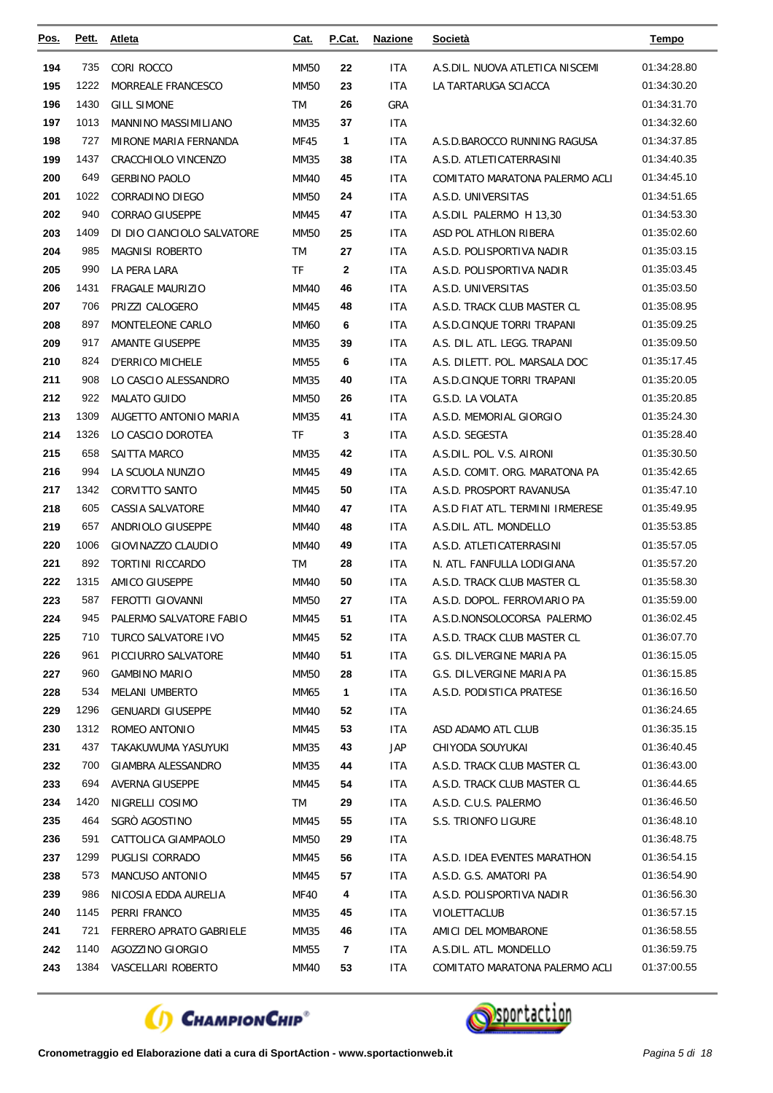| Pos. | Pett. | Atleta                     | Cat.        | P.Cat.       | <b>Nazione</b> | Società                          | <b>Tempo</b> |
|------|-------|----------------------------|-------------|--------------|----------------|----------------------------------|--------------|
| 194  | 735   | CORI ROCCO                 | <b>MM50</b> | 22           | <b>ITA</b>     | A.S.DIL. NUOVA ATLETICA NISCEMI  | 01:34:28.80  |
| 195  | 1222  | MORREALE FRANCESCO         | <b>MM50</b> | 23           | <b>ITA</b>     | LA TARTARUGA SCIACCA             | 01:34:30.20  |
| 196  | 1430  | <b>GILL SIMONE</b>         | <b>TM</b>   | 26           | GRA            |                                  | 01:34:31.70  |
| 197  | 1013  | MANNINO MASSIMILIANO       | MM35        | 37           | ITA            |                                  | 01:34:32.60  |
| 198  | 727   | MIRONE MARIA FERNANDA      | MF45        | 1            | <b>ITA</b>     | A.S.D.BAROCCO RUNNING RAGUSA     | 01:34:37.85  |
| 199  | 1437  | CRACCHIOLO VINCENZO        | MM35        | 38           | <b>ITA</b>     | A.S.D. ATLETICATERRASINI         | 01:34:40.35  |
| 200  | 649   | <b>GERBINO PAOLO</b>       | <b>MM40</b> | 45           | <b>ITA</b>     | COMITATO MARATONA PALERMO ACLI   | 01:34:45.10  |
| 201  | 1022  | CORRADINO DIEGO            | <b>MM50</b> | 24           | ITA            | A.S.D. UNIVERSITAS               | 01:34:51.65  |
| 202  | 940   | <b>CORRAO GIUSEPPE</b>     | MM45        | 47           | <b>ITA</b>     | A.S.DIL PALERMO H 13,30          | 01:34:53.30  |
| 203  | 1409  | DI DIO CIANCIOLO SALVATORE | <b>MM50</b> | 25           | ITA            | ASD POL ATHLON RIBERA            | 01:35:02.60  |
| 204  | 985   | <b>MAGNISI ROBERTO</b>     | <b>TM</b>   | 27           | <b>ITA</b>     | A.S.D. POLISPORTIVA NADIR        | 01:35:03.15  |
| 205  | 990   | LA PERA LARA               | <b>TF</b>   | $\mathbf{2}$ | <b>ITA</b>     | A.S.D. POLISPORTIVA NADIR        | 01:35:03.45  |
| 206  | 1431  | <b>FRAGALE MAURIZIO</b>    | <b>MM40</b> | 46           | <b>ITA</b>     | A.S.D. UNIVERSITAS               | 01:35:03.50  |
| 207  | 706   | PRIZZI CALOGERO            | MM45        | 48           | <b>ITA</b>     | A.S.D. TRACK CLUB MASTER CL      | 01:35:08.95  |
| 208  | 897   | MONTELEONE CARLO           | <b>MM60</b> | 6            | <b>ITA</b>     | A.S.D.CINQUE TORRI TRAPANI       | 01:35:09.25  |
| 209  | 917   | <b>AMANTE GIUSEPPE</b>     | MM35        | 39           | <b>ITA</b>     | A.S. DIL. ATL. LEGG. TRAPANI     | 01:35:09.50  |
| 210  | 824   | <b>D'ERRICO MICHELE</b>    | MM55        | 6            | ITA            | A.S. DILETT. POL. MARSALA DOC    | 01:35:17.45  |
| 211  | 908   | LO CASCIO ALESSANDRO       | MM35        | 40           | <b>ITA</b>     | A.S.D.CINQUE TORRI TRAPANI       | 01:35:20.05  |
| 212  | 922   | <b>MALATO GUIDO</b>        | <b>MM50</b> | 26           | <b>ITA</b>     | G.S.D. LA VOLATA                 | 01:35:20.85  |
| 213  | 1309  | AUGETTO ANTONIO MARIA      | MM35        | 41           | <b>ITA</b>     | A.S.D. MEMORIAL GIORGIO          | 01:35:24.30  |
| 214  | 1326  | LO CASCIO DOROTEA          | <b>TF</b>   | 3            | <b>ITA</b>     | A.S.D. SEGESTA                   | 01:35:28.40  |
| 215  | 658   | SAITTA MARCO               | MM35        | 42           | <b>ITA</b>     | A.S.DIL. POL. V.S. AIRONI        | 01:35:30.50  |
| 216  | 994   | LA SCUOLA NUNZIO           | MM45        | 49           | <b>ITA</b>     | A.S.D. COMIT. ORG. MARATONA PA   | 01:35:42.65  |
| 217  | 1342  | CORVITTO SANTO             | MM45        | 50           | ITA            | A.S.D. PROSPORT RAVANUSA         | 01:35:47.10  |
| 218  | 605   | <b>CASSIA SALVATORE</b>    | <b>MM40</b> | 47           | <b>ITA</b>     | A.S.D FIAT ATL. TERMINI IRMERESE | 01:35:49.95  |
| 219  | 657   | ANDRIOLO GIUSEPPE          | MM40        | 48           | <b>ITA</b>     | A.S.DIL. ATL. MONDELLO           | 01:35:53.85  |
| 220  | 1006  | GIOVINAZZO CLAUDIO         | <b>MM40</b> | 49           | ITA            | A.S.D. ATLETICATERRASINI         | 01:35:57.05  |
| 221  | 892   | TORTINI RICCARDO           | TM          | 28           | ITA            | N. ATL. FANFULLA LODIGIANA       | 01:35:57.20  |
| 222  | 1315  | AMICO GIUSEPPE             | <b>MM40</b> | 50           | <b>ITA</b>     | A.S.D. TRACK CLUB MASTER CL      | 01:35:58.30  |
| 223  | 587   | FEROTTI GIOVANNI           | <b>MM50</b> | 27           | <b>ITA</b>     | A.S.D. DOPOL. FERROVIARIO PA     | 01:35:59.00  |
| 224  | 945   | PALERMO SALVATORE FABIO    | MM45        | 51           | ITA            | A.S.D.NONSOLOCORSA PALERMO       | 01:36:02.45  |
| 225  | 710   | <b>TURCO SALVATORE IVO</b> | MM45        | 52           | <b>ITA</b>     | A.S.D. TRACK CLUB MASTER CL      | 01:36:07.70  |
| 226  | 961   | PICCIURRO SALVATORE        | MM40        | 51           | <b>ITA</b>     | G.S. DIL. VERGINE MARIA PA       | 01:36:15.05  |
| 227  | 960   | <b>GAMBINO MARIO</b>       | MM50        | 28           | <b>ITA</b>     | G.S. DIL.VERGINE MARIA PA        | 01:36:15.85  |
| 228  | 534   | MELANI UMBERTO             | MM65        | $\mathbf{1}$ | ITA            | A.S.D. PODISTICA PRATESE         | 01:36:16.50  |
| 229  | 1296  | <b>GENUARDI GIUSEPPE</b>   | MM40        | 52           | <b>ITA</b>     |                                  | 01:36:24.65  |
| 230  | 1312  | ROMEO ANTONIO              | MM45        | 53           | ITA            | ASD ADAMO ATL CLUB               | 01:36:35.15  |
| 231  | 437   | TAKAKUWUMA YASUYUKI        | MM35        | 43           | JAP            | CHIYODA SOUYUKAI                 | 01:36:40.45  |
| 232  | 700   | GIAMBRA ALESSANDRO         | MM35        | 44           | ITA.           | A.S.D. TRACK CLUB MASTER CL      | 01:36:43.00  |
| 233  | 694   | AVERNA GIUSEPPE            | MM45        | 54           | <b>ITA</b>     | A.S.D. TRACK CLUB MASTER CL      | 01:36:44.65  |
| 234  | 1420  | NIGRELLI COSIMO            | TM          | 29           | ITA            | A.S.D. C.U.S. PALERMO            | 01:36:46.50  |
| 235  | 464   | SGRÒ AGOSTINO              | MM45        | 55           | <b>ITA</b>     | S.S. TRIONFO LIGURE              | 01:36:48.10  |
| 236  | 591   | CATTOLICA GIAMPAOLO        | MM50        | 29           | <b>ITA</b>     |                                  | 01:36:48.75  |
| 237  | 1299  | PUGLISI CORRADO            | MM45        | 56           | <b>ITA</b>     | A.S.D. IDEA EVENTES MARATHON     | 01:36:54.15  |
| 238  | 573   | MANCUSO ANTONIO            | MM45        | 57           | ITA.           | A.S.D. G.S. AMATORI PA           | 01:36:54.90  |
| 239  | 986   | NICOSIA EDDA AURELIA       | MF40        | 4            | ITA            | A.S.D. POLISPORTIVA NADIR        | 01:36:56.30  |
| 240  | 1145  | PERRI FRANCO               | MM35        | 45           | <b>ITA</b>     | VIOLETTACLUB                     | 01:36:57.15  |
| 241  | 721   | FERRERO APRATO GABRIELE    | MM35        | 46           | ITA            | AMICI DEL MOMBARONE              | 01:36:58.55  |
| 242  | 1140  | AGOZZINO GIORGIO           | MM55        | 7            | <b>ITA</b>     | A.S.DIL. ATL. MONDELLO           | 01:36:59.75  |
| 243  | 1384  | VASCELLARI ROBERTO         | MM40        | 53           | ITA            | COMITATO MARATONA PALERMO ACLI   | 01:37:00.55  |



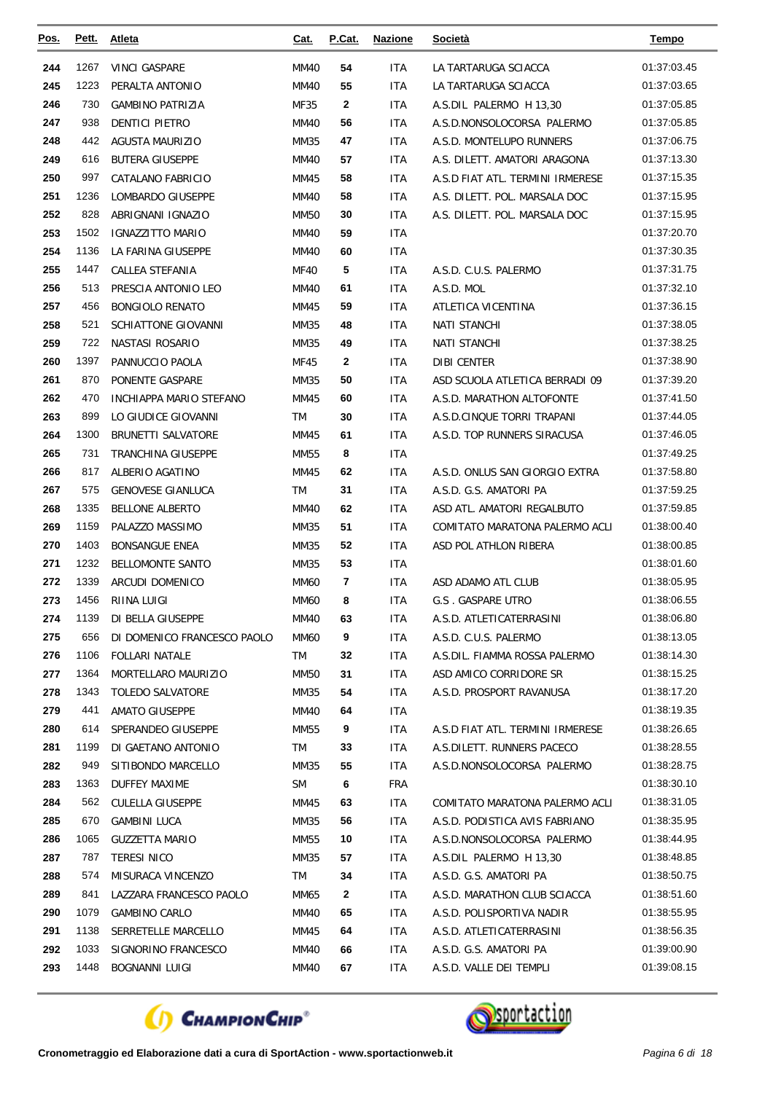| <u>Pos.</u> | Pett.       | Atleta                                      | Cat.        | P.Cat.       | <b>Nazione</b>    | <b>Società</b>                                                 | <b>Tempo</b>               |
|-------------|-------------|---------------------------------------------|-------------|--------------|-------------------|----------------------------------------------------------------|----------------------------|
| 244         | 1267        | <b>VINCI GASPARE</b>                        | <b>MM40</b> | 54           | <b>ITA</b>        | LA TARTARUGA SCIACCA                                           | 01:37:03.45                |
| 245         | 1223        | PERALTA ANTONIO                             | <b>MM40</b> | 55           | <b>ITA</b>        | LA TARTARUGA SCIACCA                                           | 01:37:03.65                |
| 246         | 730         | <b>GAMBINO PATRIZIA</b>                     | MF35        | 2            | <b>ITA</b>        | A.S.DIL PALERMO H 13.30                                        | 01:37:05.85                |
| 247         | 938         | <b>DENTICI PIETRO</b>                       | MM40        | 56           | <b>ITA</b>        | A.S.D.NONSOLOCORSA PALERMO                                     | 01:37:05.85                |
| 248         | 442         | <b>AGUSTA MAURIZIO</b>                      | MM35        | 47           | <b>ITA</b>        | A.S.D. MONTELUPO RUNNERS                                       | 01:37:06.75                |
| 249         | 616         | <b>BUTERA GIUSEPPE</b>                      | <b>MM40</b> | 57           | <b>ITA</b>        | A.S. DILETT. AMATORI ARAGONA                                   | 01:37:13.30                |
| 250         | 997         | CATALANO FABRICIO                           | MM45        | 58           | <b>ITA</b>        | A.S.D FIAT ATL. TERMINI IRMERESE                               | 01:37:15.35                |
| 251         | 1236        | LOMBARDO GIUSEPPE                           | <b>MM40</b> | 58           | <b>ITA</b>        | A.S. DILETT. POL. MARSALA DOC                                  | 01:37:15.95                |
| 252         | 828         | ABRIGNANI IGNAZIO                           | <b>MM50</b> | 30           | <b>ITA</b>        | A.S. DILETT. POL. MARSALA DOC                                  | 01:37:15.95                |
| 253         | 1502        | <b>IGNAZZITTO MARIO</b>                     | MM40        | 59           | <b>ITA</b>        |                                                                | 01:37:20.70                |
| 254         | 1136        | LA FARINA GIUSEPPE                          | MM40        | 60           | <b>ITA</b>        |                                                                | 01:37:30.35                |
| 255         | 1447        | CALLEA STEFANIA                             | <b>MF40</b> | 5            | <b>ITA</b>        | A.S.D. C.U.S. PALERMO                                          | 01:37:31.75                |
| 256         | 513         | PRESCIA ANTONIO LEO                         | <b>MM40</b> | 61           | <b>ITA</b>        | A.S.D. MOL                                                     | 01:37:32.10                |
| 257         | 456         | <b>BONGIOLO RENATO</b>                      | MM45        | 59           | <b>ITA</b>        | ATLETICA VICENTINA                                             | 01:37:36.15                |
| 258         | 521         | <b>SCHIATTONE GIOVANNI</b>                  | MM35        | 48           | <b>ITA</b>        | <b>NATI STANCHI</b>                                            | 01:37:38.05                |
| 259         | 722         | NASTASI ROSARIO                             | MM35        | 49           | <b>ITA</b>        | <b>NATI STANCHI</b>                                            | 01:37:38.25                |
| 260         | 1397        | PANNUCCIO PAOLA                             | MF45        | 2            | <b>ITA</b>        | <b>DIBI CENTER</b>                                             | 01:37:38.90                |
| 261         | 870         | PONENTE GASPARE                             | MM35        | 50           | <b>ITA</b>        | ASD SCUOLA ATLETICA BERRADI 09                                 | 01:37:39.20                |
| 262         | 470         | <b>INCHIAPPA MARIO STEFANO</b>              | MM45        | 60           | <b>ITA</b>        | A.S.D. MARATHON ALTOFONTE                                      | 01:37:41.50                |
| 263         | 899         | LO GIUDICE GIOVANNI                         | <b>TM</b>   | 30           | <b>ITA</b>        | A.S.D.CINQUE TORRI TRAPANI                                     | 01:37:44.05                |
| 264         | 1300        | BRUNETTI SALVATORE                          | MM45        | 61           | <b>ITA</b>        | A.S.D. TOP RUNNERS SIRACUSA                                    | 01:37:46.05                |
| 265         | 731         | TRANCHINA GIUSEPPE                          | MM55        | 8            | <b>ITA</b>        |                                                                | 01:37:49.25                |
| 266         | 817         | ALBERIO AGATINO                             | MM45        | 62           | <b>ITA</b>        | A.S.D. ONLUS SAN GIORGIO EXTRA                                 | 01:37:58.80                |
| 267         | 575         | <b>GENOVESE GIANLUCA</b>                    | <b>TM</b>   | 31           | <b>ITA</b>        | A.S.D. G.S. AMATORI PA                                         | 01:37:59.25                |
| 268         | 1335        | <b>BELLONE ALBERTO</b>                      | <b>MM40</b> | 62           | <b>ITA</b>        | ASD ATL. AMATORI REGALBUTO                                     | 01:37:59.85                |
| 269         | 1159        | PALAZZO MASSIMO                             | MM35        | 51           | <b>ITA</b>        | COMITATO MARATONA PALERMO ACLI                                 | 01:38:00.40                |
| 270         | 1403        | <b>BONSANGUE ENEA</b>                       | <b>MM35</b> | 52           | <b>ITA</b>        | ASD POL ATHLON RIBERA                                          | 01:38:00.85                |
| 271         | 1232        | <b>BELLOMONTE SANTO</b>                     | MM35        | 53           | <b>ITA</b>        |                                                                | 01:38:01.60                |
| 272         | 1339        | <b>ARCUDI DOMENICO</b>                      | MM60        | 7            | <b>ITA</b>        | ASD ADAMO ATL CLUB                                             | 01:38:05.95                |
| 273         | 1456        | RIINA LUIGI                                 | <b>MM60</b> | 8            | <b>ITA</b>        | <b>G.S. GASPARE UTRO</b>                                       | 01:38:06.55                |
| 274         | 1139        | DI BELLA GIUSEPPE                           | <b>MM40</b> | 63           | <b>ITA</b>        | A.S.D. ATLETICATERRASINI                                       | 01:38:06.80                |
| 275         | 656         | DI DOMENICO FRANCESCO PAOLO                 | MM60        | 9            | <b>ITA</b>        | A.S.D. C.U.S. PALERMO                                          | 01:38:13.05                |
| 276         | 1106        | <b>FOLLARI NATALE</b>                       | TM          | 32           | ITA               | A.S.DIL. FIAMMA ROSSA PALERMO                                  | 01:38:14.30                |
| 277         | 1364        | MORTELLARO MAURIZIO                         | <b>MM50</b> | 31           | ITA               | ASD AMICO CORRIDORE SR                                         | 01:38:15.25                |
| 278         | 1343        | <b>TOLEDO SALVATORE</b>                     | MM35        | 54           | ITA               | A.S.D. PROSPORT RAVANUSA                                       | 01:38:17.20                |
| 279         | 441         | <b>AMATO GIUSEPPE</b><br>SPERANDEO GIUSEPPE | MM40        | 64           | ITA               |                                                                | 01:38:19.35                |
| 280<br>281  | 614<br>1199 | DI GAETANO ANTONIO                          | MM55<br>TM  | 9<br>33      | ITA<br><b>ITA</b> | A.S.D FIAT ATL. TERMINI IRMERESE<br>A.S.DILETT. RUNNERS PACECO | 01:38:26.65<br>01:38:28.55 |
| 282         | 949         | SITIBONDO MARCELLO                          | MM35        | 55           | ITA.              | A.S.D.NONSOLOCORSA PALERMO                                     | 01:38:28.75                |
| 283         | 1363        | DUFFEY MAXIME                               | <b>SM</b>   | 6            | <b>FRA</b>        |                                                                | 01:38:30.10                |
| 284         | 562         | <b>CULELLA GIUSEPPE</b>                     | MM45        | 63           | <b>ITA</b>        | COMITATO MARATONA PALERMO ACLI                                 | 01:38:31.05                |
| 285         | 670         | <b>GAMBINI LUCA</b>                         | MM35        | 56           | ITA.              | A.S.D. PODISTICA AVIS FABRIANO                                 | 01:38:35.95                |
| 286         | 1065        | <b>GUZZETTA MARIO</b>                       | MM55        | 10           | <b>ITA</b>        | A.S.D.NONSOLOCORSA PALERMO                                     | 01:38:44.95                |
| 287         | 787         | <b>TERESI NICO</b>                          | MM35        | 57           | <b>ITA</b>        | A.S.DIL PALERMO H 13,30                                        | 01:38:48.85                |
| 288         | 574         | MISURACA VINCENZO                           | TM          | 34           | ITA               | A.S.D. G.S. AMATORI PA                                         | 01:38:50.75                |
| 289         | 841         | LAZZARA FRANCESCO PAOLO                     | MM65        | $\mathbf{2}$ | ITA               | A.S.D. MARATHON CLUB SCIACCA                                   | 01:38:51.60                |
| 290         | 1079        | <b>GAMBINO CARLO</b>                        | MM40        | 65           | ITA               | A.S.D. POLISPORTIVA NADIR                                      | 01:38:55.95                |
| 291         | 1138        | SERRETELLE MARCELLO                         | MM45        | 64           | <b>ITA</b>        | A.S.D. ATLETICATERRASINI                                       | 01:38:56.35                |
| 292         | 1033        | SIGNORINO FRANCESCO                         | MM40        | 66           | ITA               | A.S.D. G.S. AMATORI PA                                         | 01:39:00.90                |
| 293         | 1448        | <b>BOGNANNI LUIGI</b>                       | MM40        | 67           | ITA               | A.S.D. VALLE DEI TEMPLI                                        | 01:39:08.15                |
|             |             |                                             |             |              |                   |                                                                |                            |



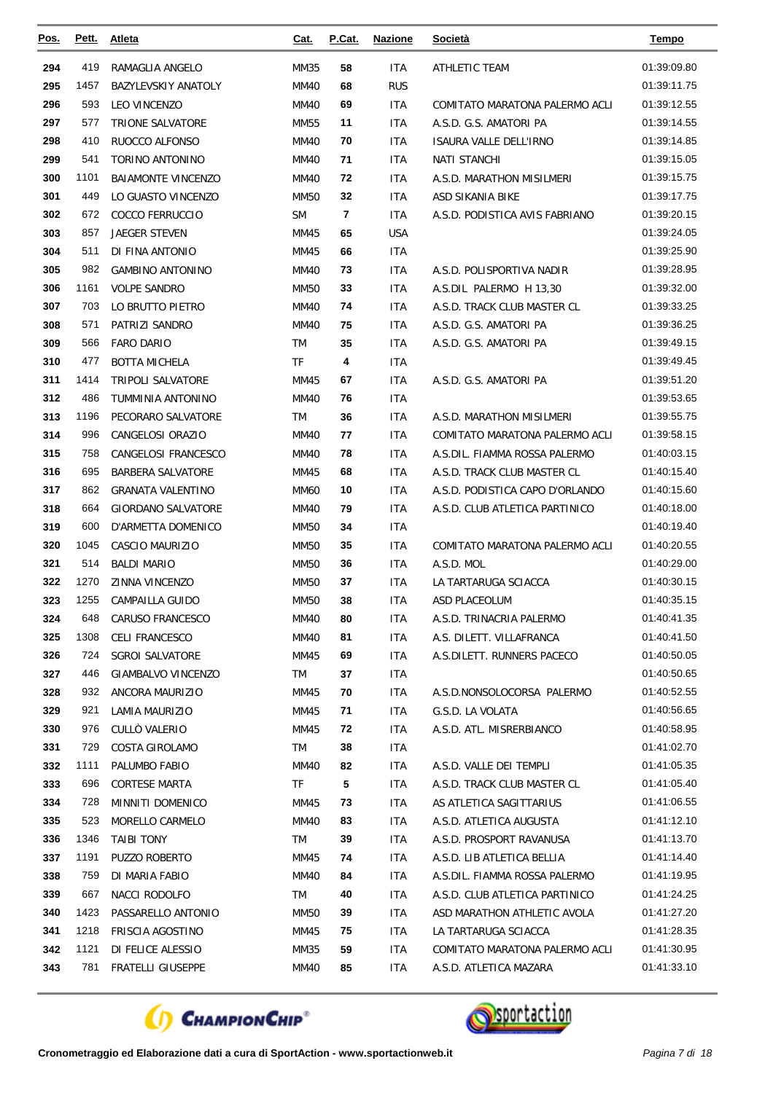| <u>Pos.</u> | Pett. | <b>Atleta</b>              | <u>Cat.</u> | P.Cat. | <b>Nazione</b> | Società                         | <b>Tempo</b> |
|-------------|-------|----------------------------|-------------|--------|----------------|---------------------------------|--------------|
| 294         | 419   | RAMAGLIA ANGELO            | MM35        | 58     | <b>ITA</b>     | ATHLETIC TEAM                   | 01:39:09.80  |
| 295         | 1457  | <b>BAZYLEVSKIY ANATOLY</b> | <b>MM40</b> | 68     | <b>RUS</b>     |                                 | 01:39:11.75  |
| 296         | 593   | <b>LEO VINCENZO</b>        | <b>MM40</b> | 69     | <b>ITA</b>     | COMITATO MARATONA PALERMO ACLI  | 01:39:12.55  |
| 297         | 577   | TRIONE SALVATORE           | MM55        | 11     | ITA            | A.S.D. G.S. AMATORI PA          | 01:39:14.55  |
| 298         | 410   | RUOCCO ALFONSO             | MM40        | 70     | ITA            | ISAURA VALLE DELL'IRNO          | 01:39:14.85  |
| 299         | 541   | <b>TORINO ANTONINO</b>     | MM40        | 71     | ITA            | <b>NATI STANCHI</b>             | 01:39:15.05  |
| 300         | 1101  | <b>BAIAMONTE VINCENZO</b>  | MM40        | 72     | ITA            | A.S.D. MARATHON MISILMERI       | 01:39:15.75  |
| 301         | 449   | LO GUASTO VINCENZO         | <b>MM50</b> | 32     | ITA            | ASD SIKANIA BIKE                | 01:39:17.75  |
| 302         | 672   | COCCO FERRUCCIO            | <b>SM</b>   | 7      | ITA            | A.S.D. PODISTICA AVIS FABRIANO  | 01:39:20.15  |
| 303         | 857   | JAEGER STEVEN              | MM45        | 65     | <b>USA</b>     |                                 | 01:39:24.05  |
| 304         | 511   | DI FINA ANTONIO            | MM45        | 66     | <b>ITA</b>     |                                 | 01:39:25.90  |
| 305         | 982   | <b>GAMBINO ANTONINO</b>    | <b>MM40</b> | 73     | ITA            | A.S.D. POLISPORTIVA NADIR       | 01:39:28.95  |
| 306         | 1161  | <b>VOLPE SANDRO</b>        | MM50        | 33     | ITA            | A.S.DIL PALERMO H 13.30         | 01:39:32.00  |
| 307         | 703   | LO BRUTTO PIETRO           | <b>MM40</b> | 74     | <b>ITA</b>     | A.S.D. TRACK CLUB MASTER CL     | 01:39:33.25  |
| 308         | 571   | PATRIZI SANDRO             | MM40        | 75     | ITA            | A.S.D. G.S. AMATORI PA          | 01:39:36.25  |
| 309         | 566   | <b>FARO DARIO</b>          | <b>TM</b>   | 35     | ITA            | A.S.D. G.S. AMATORI PA          | 01:39:49.15  |
| 310         | 477   | <b>BOTTA MICHELA</b>       | <b>TF</b>   | 4      | <b>ITA</b>     |                                 | 01:39:49.45  |
| 311         | 1414  | <b>TRIPOLI SALVATORE</b>   | MM45        | 67     | ITA            | A.S.D. G.S. AMATORI PA          | 01:39:51.20  |
| 312         | 486   | TUMMINIA ANTONINO          | <b>MM40</b> | 76     | ITA            |                                 | 01:39:53.65  |
| 313         | 1196  | PECORARO SALVATORE         | TM          | 36     | ITA            | A.S.D. MARATHON MISILMERI       | 01:39:55.75  |
| 314         | 996   | CANGELOSI ORAZIO           | MM40        | 77     | ITA            | COMITATO MARATONA PALERMO ACLI  | 01:39:58.15  |
| 315         | 758   | CANGELOSI FRANCESCO        | <b>MM40</b> | 78     | <b>ITA</b>     | A.S.DIL. FIAMMA ROSSA PALERMO   | 01:40:03.15  |
| 316         | 695   | <b>BARBERA SALVATORE</b>   | MM45        | 68     | ITA            | A.S.D. TRACK CLUB MASTER CL     | 01:40:15.40  |
| 317         | 862   | <b>GRANATA VALENTINO</b>   | <b>MM60</b> | 10     | <b>ITA</b>     | A.S.D. PODISTICA CAPO D'ORLANDO | 01:40:15.60  |
| 318         | 664   | GIORDANO SALVATORE         | MM40        | 79     | ITA            | A.S.D. CLUB ATLETICA PARTINICO  | 01:40:18.00  |
| 319         | 600   | D'ARMETTA DOMENICO         | MM50        | 34     | <b>ITA</b>     |                                 | 01:40:19.40  |
| 320         | 1045  | CASCIO MAURIZIO            | MM50        | 35     | ITA            | COMITATO MARATONA PALERMO ACLI  | 01:40:20.55  |
| 321         | 514   | <b>BALDI MARIO</b>         | <b>MM50</b> | 36     | ITA            | A.S.D. MOL                      | 01:40:29.00  |
| 322         | 1270  | ZINNA VINCENZO             | MM50        | 37     | ITA            | LA TARTARUGA SCIACCA            | 01:40:30.15  |
| 323         | 1255  | CAMPAILLA GUIDO            | <b>MM50</b> | 38     | ITA            | ASD PLACEOLUM                   | 01:40:35.15  |
| 324         | 648   | CARUSO FRANCESCO           | MM40        | 80     | <b>ITA</b>     | A.S.D. TRINACRIA PALERMO        | 01:40:41.35  |
| 325         | 1308  | CELI FRANCESCO             | MM40        | 81     | ITA            | A.S. DILETT. VILLAFRANCA        | 01:40:41.50  |
| 326         | 724   | SGROI SALVATORE            | MM45        | 69     | ITA            | A.S.DILETT. RUNNERS PACECO      | 01:40:50.05  |
| 327         | 446   | <b>GIAMBALVO VINCENZO</b>  | TM          | 37     | <b>ITA</b>     |                                 | 01:40:50.65  |
| 328         | 932   | ANCORA MAURIZIO            | MM45        | 70     | ITA            | A.S.D.NONSOLOCORSA PALERMO      | 01:40:52.55  |
| 329         | 921   | LAMIA MAURIZIO             | MM45        | 71     | ITA            | G.S.D. LA VOLATA                | 01:40:56.65  |
| 330         | 976   | CULLÒ VALERIO              | MM45        | 72     | ITA            | A.S.D. ATL. MISRERBIANCO        | 01:40:58.95  |
| 331         | 729   | COSTA GIROLAMO             | TM          | 38     | <b>ITA</b>     |                                 | 01:41:02.70  |
| 332         | 1111  | PALUMBO FABIO              | MM40        | 82     | ITA            | A.S.D. VALLE DEI TEMPLI         | 01:41:05.35  |
| 333         | 696   | <b>CORTESE MARTA</b>       | TF          | 5      | ITA            | A.S.D. TRACK CLUB MASTER CL     | 01:41:05.40  |
| 334         | 728   | MINNITI DOMENICO           | MM45        | 73     | ITA            | AS ATLETICA SAGITTARIUS         | 01:41:06.55  |
| 335         | 523   | MORELLO CARMELO            | <b>MM40</b> | 83     | ITA            | A.S.D. ATLETICA AUGUSTA         | 01:41:12.10  |
| 336         | 1346  | <b>TAIBI TONY</b>          | TM          | 39     | ITA.           | A.S.D. PROSPORT RAVANUSA        | 01:41:13.70  |
| 337         | 1191  | <b>PUZZO ROBERTO</b>       | MM45        | 74     | ITA.           | A.S.D. LIB ATLETICA BELLIA      | 01:41:14.40  |
| 338         | 759   | DI MARIA FABIO             | MM40        | 84     | ITA.           | A.S.DIL. FIAMMA ROSSA PALERMO   | 01:41:19.95  |
| 339         | 667   | NACCI RODOLFO              | TM          | 40     | ITA.           | A.S.D. CLUB ATLETICA PARTINICO  | 01:41:24.25  |
| 340         | 1423  | PASSARELLO ANTONIO         | MM50        | 39     | ITA            | ASD MARATHON ATHLETIC AVOLA     | 01:41:27.20  |
| 341         | 1218  | FRISCIA AGOSTINO           | MM45        | 75     | ITA.           | LA TARTARUGA SCIACCA            | 01:41:28.35  |
| 342         | 1121  | DI FELICE ALESSIO          | MM35        | 59     | <b>ITA</b>     | COMITATO MARATONA PALERMO ACLI  | 01:41:30.95  |
| 343         | 781   | FRATELLI GIUSEPPE          | MM40        | 85     | ITA            | A.S.D. ATLETICA MAZARA          | 01:41:33.10  |



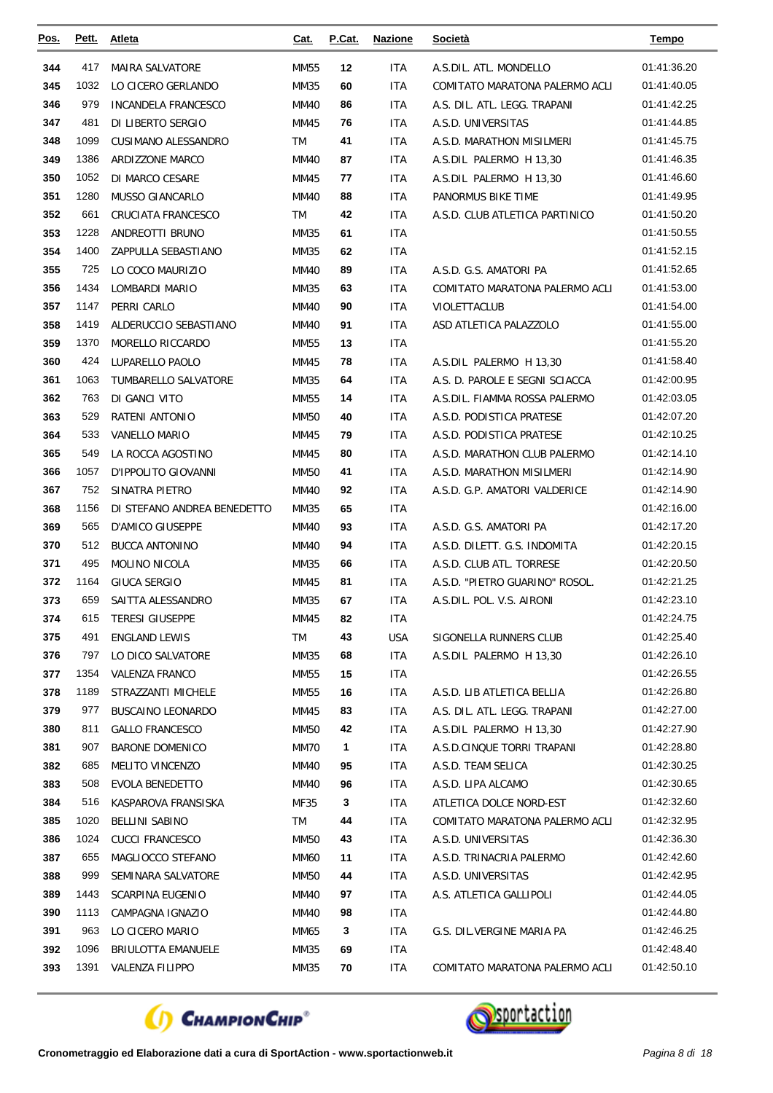| <u>Pos.</u> | Pett.        | Atleta                              | Cat.         | P.Cat.  | <b>Nazione</b> | Società                        | <b>Tempo</b>               |
|-------------|--------------|-------------------------------------|--------------|---------|----------------|--------------------------------|----------------------------|
| 344         | 417          | <b>MAIRA SALVATORE</b>              | MM55         | 12      | ITA            | A.S.DIL. ATL. MONDELLO         | 01:41:36.20                |
| 345         | 1032         | LO CICERO GERLANDO                  | MM35         | 60      | ITA            | COMITATO MARATONA PALERMO ACLI | 01:41:40.05                |
| 346         | 979          | INCANDELA FRANCESCO                 | <b>MM40</b>  | 86      | <b>ITA</b>     | A.S. DIL. ATL. LEGG. TRAPANI   | 01:41:42.25                |
| 347         | 481          | DI LIBERTO SERGIO                   | MM45         | 76      | ITA            | A.S.D. UNIVERSITAS             | 01:41:44.85                |
| 348         | 1099         | CUSIMANO ALESSANDRO                 | TM           | 41      | ITA            | A.S.D. MARATHON MISILMERI      | 01:41:45.75                |
| 349         | 1386         | ARDIZZONE MARCO                     | <b>MM40</b>  | 87      | <b>ITA</b>     | A.S.DIL PALERMO H 13,30        | 01:41:46.35                |
| 350         | 1052         | DI MARCO CESARE                     | MM45         | 77      | ITA            | A.S.DIL PALERMO H 13,30        | 01:41:46.60                |
| 351         | 1280         | <b>MUSSO GIANCARLO</b>              | <b>MM40</b>  | 88      | ITA            | PANORMUS BIKE TIME             | 01:41:49.95                |
| 352         | 661          | CRUCIATA FRANCESCO                  | TM           | 42      | ITA            | A.S.D. CLUB ATLETICA PARTINICO | 01:41:50.20                |
| 353         | 1228         | ANDREOTTI BRUNO                     | MM35         | 61      | <b>ITA</b>     |                                | 01:41:50.55                |
| 354         | 1400         | ZAPPULLA SEBASTIANO                 | MM35         | 62      | <b>ITA</b>     |                                | 01:41:52.15                |
| 355         | 725          | LO COCO MAURIZIO                    | MM40         | 89      | ITA            | A.S.D. G.S. AMATORI PA         | 01:41:52.65                |
| 356         | 1434         | LOMBARDI MARIO                      | MM35         | 63      | <b>ITA</b>     | COMITATO MARATONA PALERMO ACLI | 01:41:53.00                |
| 357         | 1147         | PERRI CARLO                         | <b>MM40</b>  | 90      | <b>ITA</b>     | <b>VIOLETTACLUB</b>            | 01:41:54.00                |
| 358         | 1419         | ALDERUCCIO SEBASTIANO               | MM40         | 91      | ITA            | ASD ATLETICA PALAZZOLO         | 01:41:55.00                |
| 359         | 1370         | MORELLO RICCARDO                    | MM55         | 13      | ITA            |                                | 01:41:55.20                |
| 360         | 424          | LUPARELLO PAOLO                     | MM45         | 78      | ITA            | A.S.DIL PALERMO H 13,30        | 01:41:58.40                |
| 361         | 1063         | TUMBARELLO SALVATORE                | MM35         | 64      | ITA            | A.S. D. PAROLE E SEGNI SCIACCA | 01:42:00.95                |
| 362         | 763          | DI GANCI VITO                       | MM55         | 14      | <b>ITA</b>     | A.S.DIL. FIAMMA ROSSA PALERMO  | 01:42:03.05                |
| 363         | 529          | RATENI ANTONIO                      | <b>MM50</b>  | 40      | <b>ITA</b>     | A.S.D. PODISTICA PRATESE       | 01:42:07.20                |
| 364         | 533          | VANELLO MARIO                       | MM45         | 79      | ITA            | A.S.D. PODISTICA PRATESE       | 01:42:10.25                |
| 365         | 549          | LA ROCCA AGOSTINO                   | MM45         | 80      | <b>ITA</b>     | A.S.D. MARATHON CLUB PALERMO   | 01:42:14.10                |
| 366         | 1057         | D'IPPOLITO GIOVANNI                 | MM50         | 41      | ITA            | A.S.D. MARATHON MISILMERI      | 01:42:14.90                |
| 367         | 752          | SINATRA PIETRO                      | MM40         | 92      | ITA            | A.S.D. G.P. AMATORI VALDERICE  | 01:42:14.90                |
| 368         | 1156         | DI STEFANO ANDREA BENEDETTO         | MM35         | 65      | ITA            |                                | 01:42:16.00                |
| 369         | 565          | <b>D'AMICO GIUSEPPE</b>             | MM40         | 93      | ITA            | A.S.D. G.S. AMATORI PA         | 01:42:17.20                |
| 370         | 512          | <b>BUCCA ANTONINO</b>               | MM40         | 94      | <b>ITA</b>     | A.S.D. DILETT. G.S. INDOMITA   | 01:42:20.15                |
| 371         | 495          | <b>MOLINO NICOLA</b>                | MM35         | 66      | ITA            | A.S.D. CLUB ATL. TORRESE       | 01:42:20.50                |
| 372         | 1164         | <b>GIUCA SERGIO</b>                 | MM45         | 81      | ITA            | A.S.D. "PIETRO GUARINO" ROSOL. | 01:42:21.25                |
| 373         | 659          | SAITTA ALESSANDRO                   | MM35         | 67      | ITA            | A.S.DIL. POL. V.S. AIRONI      | 01:42:23.10                |
| 374         | 615          | <b>TERESI GIUSEPPE</b>              | MM45         | 82      | <b>ITA</b>     |                                | 01:42:24.75                |
| 375         | 491          | <b>ENGLAND LEWIS</b>                | TM           | 43      | <b>USA</b>     | SIGONELLA RUNNERS CLUB         | 01:42:25.40                |
| 376         | 797          | LO DICO SALVATORE                   | MM35         | 68      | ITA            | A.S.DIL PALERMO H 13,30        | 01:42:26.10                |
| 377         | 1354         | <b>VALENZA FRANCO</b>               | MM55         | 15      | ITA.           |                                | 01:42:26.55                |
| 378         | 1189         | STRAZZANTI MICHELE                  | MM55         | 16      | ITA            | A.S.D. LIB ATLETICA BELLIA     | 01:42:26.80                |
| 379         | 977          | <b>BUSCAINO LEONARDO</b>            | MM45         | 83      | ITA            | A.S. DIL. ATL. LEGG. TRAPANI   | 01:42:27.00                |
| 380         | 811          | <b>GALLO FRANCESCO</b>              | MM50         | 42      | <b>ITA</b>     | A.S.DIL PALERMO H 13,30        | 01:42:27.90                |
| 381         | 907          | <b>BARONE DOMENICO</b>              | MM70         | 1       | ITA            | A.S.D.CINQUE TORRI TRAPANI     | 01:42:28.80                |
| 382         | 685          | <b>MELITO VINCENZO</b>              | MM40         | 95      | ITA            | A.S.D. TEAM SELICA             | 01:42:30.25                |
| 383         | 508          | EVOLA BENEDETTO                     | MM40         | 96      | ITA            | A.S.D. LIPA ALCAMO             | 01:42:30.65                |
| 384         | 516          | KASPAROVA FRANSISKA                 | MF35         | 3       | ITA            | ATLETICA DOLCE NORD-EST        | 01:42:32.60                |
| 385         | 1020         | <b>BELLINI SABINO</b>               | TM           | 44      | ITA            | COMITATO MARATONA PALERMO ACLI | 01:42:32.95                |
| 386         | 1024         | <b>CUCCI FRANCESCO</b>              | MM50         | 43      | ITA.           | A.S.D. UNIVERSITAS             | 01:42:36.30                |
| 387         | 655          | MAGLIOCCO STEFANO                   | MM60         | 11      | ITA.           | A.S.D. TRINACRIA PALERMO       | 01:42:42.60                |
| 388         | 999          | SEMINARA SALVATORE                  | MM50         | 44      | ITA            | A.S.D. UNIVERSITAS             | 01:42:42.95                |
| 389         | 1443<br>1113 | SCARPINA EUGENIO                    | MM40         | 97      | ITA.           | A.S. ATLETICA GALLIPOLI        | 01:42:44.05<br>01:42:44.80 |
| 390<br>391  | 963          | CAMPAGNA IGNAZIO<br>LO CICERO MARIO | MM40<br>MM65 | 98<br>3 | ITA            | G.S. DIL.VERGINE MARIA PA      | 01:42:46.25                |
| 392         | 1096         | <b>BRIULOTTA EMANUELE</b>           |              | 69      | ITA.<br>ITA    |                                | 01:42:48.40                |
| 393         | 1391         | VALENZA FILIPPO                     | MM35<br>MM35 | 70      | ITA            | COMITATO MARATONA PALERMO ACLI | 01:42:50.10                |
|             |              |                                     |              |         |                |                                |                            |



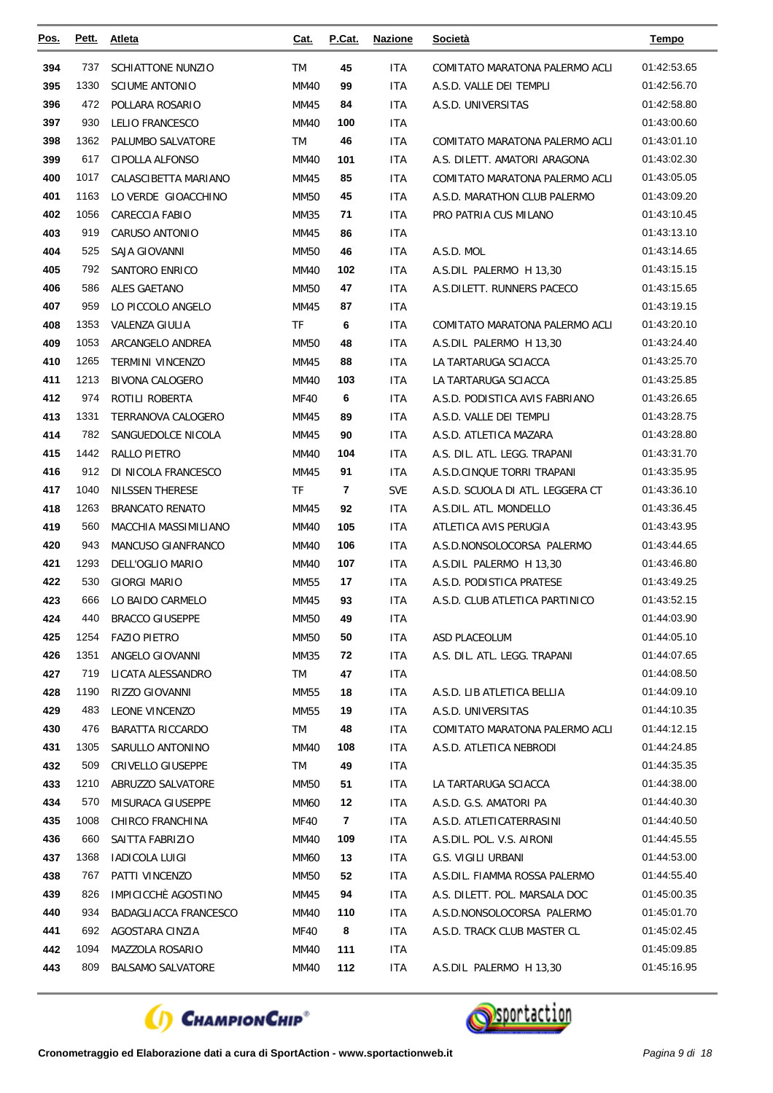| <u>Pos.</u> | Pett.       | <b>Atleta</b>                           | <u>Cat.</u> | P.Cat.         | <b>Nazione</b> | Società                                              | <u>Tempo</u>               |
|-------------|-------------|-----------------------------------------|-------------|----------------|----------------|------------------------------------------------------|----------------------------|
| 394         | 737         | <b>SCHIATTONE NUNZIO</b>                | <b>TM</b>   | 45             | <b>ITA</b>     | COMITATO MARATONA PALERMO ACLI                       | 01:42:53.65                |
| 395         | 1330        | <b>SCIUME ANTONIO</b>                   | <b>MM40</b> | 99             | ITA            | A.S.D. VALLE DEI TEMPLI                              | 01:42:56.70                |
| 396         | 472         | POLLARA ROSARIO                         | MM45        | 84             | <b>ITA</b>     | A.S.D. UNIVERSITAS                                   | 01:42:58.80                |
| 397         | 930         | LELIO FRANCESCO                         | MM40        | 100            | ITA            |                                                      | 01:43:00.60                |
| 398         | 1362        | PALUMBO SALVATORE                       | TM          | 46             | <b>ITA</b>     | COMITATO MARATONA PALERMO ACLI                       | 01:43:01.10                |
| 399         | 617         | CIPOLLA ALFONSO                         | <b>MM40</b> | 101            | ITA            | A.S. DILETT. AMATORI ARAGONA                         | 01:43:02.30                |
| 400         | 1017        | CALASCIBETTA MARIANO                    | MM45        | 85             | ITA            | COMITATO MARATONA PALERMO ACLI                       | 01:43:05.05                |
| 401         | 1163        | LO VERDE GIOACCHINO                     | <b>MM50</b> | 45             | ITA            | A.S.D. MARATHON CLUB PALERMO                         | 01:43:09.20                |
| 402         | 1056        | <b>CARECCIA FABIO</b>                   | MM35        | 71             | ITA            | PRO PATRIA CUS MILANO                                | 01:43:10.45                |
| 403         | 919         | CARUSO ANTONIO                          | MM45        | 86             | ITA            |                                                      | 01:43:13.10                |
| 404         | 525         | SAJA GIOVANNI                           | <b>MM50</b> | 46             | ITA            | A.S.D. MOL                                           | 01:43:14.65                |
| 405         | 792         | SANTORO ENRICO                          | MM40        | 102            | ITA            | A.S.DIL PALERMO H 13,30                              | 01:43:15.15                |
| 406         | 586         | ALES GAETANO                            | <b>MM50</b> | 47             | ITA            | A.S.DILETT. RUNNERS PACECO                           | 01:43:15.65                |
| 407         | 959         | LO PICCOLO ANGELO                       | MM45        | 87             | <b>ITA</b>     |                                                      | 01:43:19.15                |
| 408         | 1353        | VALENZA GIULIA                          | TF          | 6              | ITA            | COMITATO MARATONA PALERMO ACLI                       | 01:43:20.10                |
| 409         | 1053        | ARCANGELO ANDREA                        | <b>MM50</b> | 48             | ITA            | A.S.DIL PALERMO H 13.30                              | 01:43:24.40                |
| 410         | 1265        | <b>TERMINI VINCENZO</b>                 | MM45        | 88             | ITA            | LA TARTARUGA SCIACCA                                 | 01:43:25.70                |
| 411         | 1213        | <b>BIVONA CALOGERO</b>                  | <b>MM40</b> | 103            | ITA            | LA TARTARUGA SCIACCA                                 | 01:43:25.85                |
| 412         | 974         | ROTILI ROBERTA                          | <b>MF40</b> | 6              | ITA            | A.S.D. PODISTICA AVIS FABRIANO                       | 01:43:26.65                |
| 413         | 1331        | TERRANOVA CALOGERO                      | MM45        | 89             | ITA            | A.S.D. VALLE DEI TEMPLI                              | 01:43:28.75                |
| 414         | 782         | SANGUEDOLCE NICOLA                      | MM45        | 90             | ITA            | A.S.D. ATLETICA MAZARA                               | 01:43:28.80                |
| 415         | 1442        | RALLO PIETRO                            | <b>MM40</b> | 104            | ITA            | A.S. DIL. ATL. LEGG. TRAPANI                         | 01:43:31.70                |
| 416         | 912         | DI NICOLA FRANCESCO                     | MM45        | 91             | ITA            | A.S.D.CINQUE TORRI TRAPANI                           | 01:43:35.95                |
| 417         | 1040        | NILSSEN THERESE                         | TF          | 7              | <b>SVE</b>     | A.S.D. SCUOLA DI ATL. LEGGERA CT                     | 01:43:36.10                |
| 418         | 1263        | <b>BRANCATO RENATO</b>                  | MM45        | 92             | ITA            | A.S.DIL. ATL. MONDELLO                               | 01:43:36.45                |
| 419         | 560         | MACCHIA MASSIMILIANO                    | MM40        | 105            | ITA            | ATLETICA AVIS PERUGIA                                | 01:43:43.95                |
| 420         | 943         | <b>MANCUSO GIANFRANCO</b>               | MM40        | 106            | ITA            | A.S.D.NONSOLOCORSA PALERMO                           | 01:43:44.65                |
| 421         | 1293        | DELL'OGLIO MARIO                        | <b>MM40</b> | 107            | ITA            | A.S.DIL PALERMO H 13,30                              | 01:43:46.80                |
| 422         | 530         | <b>GIORGI MARIO</b>                     | MM55        | 17             | ITA            | A.S.D. PODISTICA PRATESE                             | 01:43:49.25                |
| 423         | 666         | LO BAIDO CARMELO                        | MM45        | 93             | ITA            | A.S.D. CLUB ATLETICA PARTINICO                       | 01:43:52.15                |
| 424         | 440         | <b>BRACCO GIUSEPPE</b>                  | <b>MM50</b> | 49             | ITA            |                                                      | 01:44:03.90                |
| 425         | 1254        | <b>FAZIO PIETRO</b>                     | <b>MM50</b> | 50             | <b>ITA</b>     | ASD PLACEOLUM                                        | 01:44:05.10                |
| 426         | 1351        | ANGELO GIOVANNI                         | MM35        | 72             | ITA            | A.S. DIL. ATL. LEGG. TRAPANI                         | 01:44:07.65                |
| 427         | 719         | LICATA ALESSANDRO                       | TM          | 47             | ITA            | A.S.D. LIB ATLETICA BELLIA                           | 01:44:08.50                |
| 428<br>429  | 1190<br>483 | RIZZO GIOVANNI<br><b>LEONE VINCENZO</b> | <b>MM55</b> | 18             | <b>ITA</b>     |                                                      | 01:44:09.10<br>01:44:10.35 |
| 430         | 476         | <b>BARATTA RICCARDO</b>                 | MM55        | 19<br>48       | <b>ITA</b>     | A.S.D. UNIVERSITAS<br>COMITATO MARATONA PALERMO ACLI | 01:44:12.15                |
| 431         | 1305        | SARULLO ANTONINO                        | TM<br>MM40  | 108            | ITA<br>ITA     | A.S.D. ATLETICA NEBRODI                              | 01:44:24.85                |
| 432         | 509         | CRIVELLO GIUSEPPE                       | TM          | 49             | ITA            |                                                      | 01:44:35.35                |
| 433         | 1210        | ABRUZZO SALVATORE                       | MM50        | 51             | ITA            | LA TARTARUGA SCIACCA                                 | 01:44:38.00                |
| 434         | 570         | MISURACA GIUSEPPE                       | MM60        | 12             | ITA            | A.S.D. G.S. AMATORI PA                               | 01:44:40.30                |
| 435         | 1008        | CHIRCO FRANCHINA                        | MF40        | $\overline{7}$ | ITA            | A.S.D. ATLETICATERRASINI                             | 01:44:40.50                |
| 436         | 660         | SAITTA FABRIZIO                         | MM40        | 109            | ITA.           | A.S.DIL. POL. V.S. AIRONI                            | 01:44:45.55                |
| 437         | 1368        | <b>IADICOLA LUIGI</b>                   | MM60        | 13             | ITA            | G.S. VIGILI URBANI                                   | 01:44:53.00                |
| 438         | 767         | PATTI VINCENZO                          | MM50        | 52             | ITA            | A.S.DIL. FIAMMA ROSSA PALERMO                        | 01:44:55.40                |
| 439         | 826         | IMPICICCHÈ AGOSTINO                     | MM45        | 94             | ITA            | A.S. DILETT. POL. MARSALA DOC                        | 01:45:00.35                |
| 440         | 934         | BADAGLIACCA FRANCESCO                   | MM40        | 110            | ITA            | A.S.D.NONSOLOCORSA PALERMO                           | 01:45:01.70                |
| 441         | 692         | AGOSTARA CINZIA                         | MF40        | 8              | ITA            | A.S.D. TRACK CLUB MASTER CL                          | 01:45:02.45                |
| 442         | 1094        | MAZZOLA ROSARIO                         | MM40        | 111            | ITA            |                                                      | 01:45:09.85                |
| 443         | 809         | <b>BALSAMO SALVATORE</b>                | MM40        | 112            | <b>ITA</b>     | A.S.DIL PALERMO H 13,30                              | 01:45:16.95                |
|             |             |                                         |             |                |                |                                                      |                            |



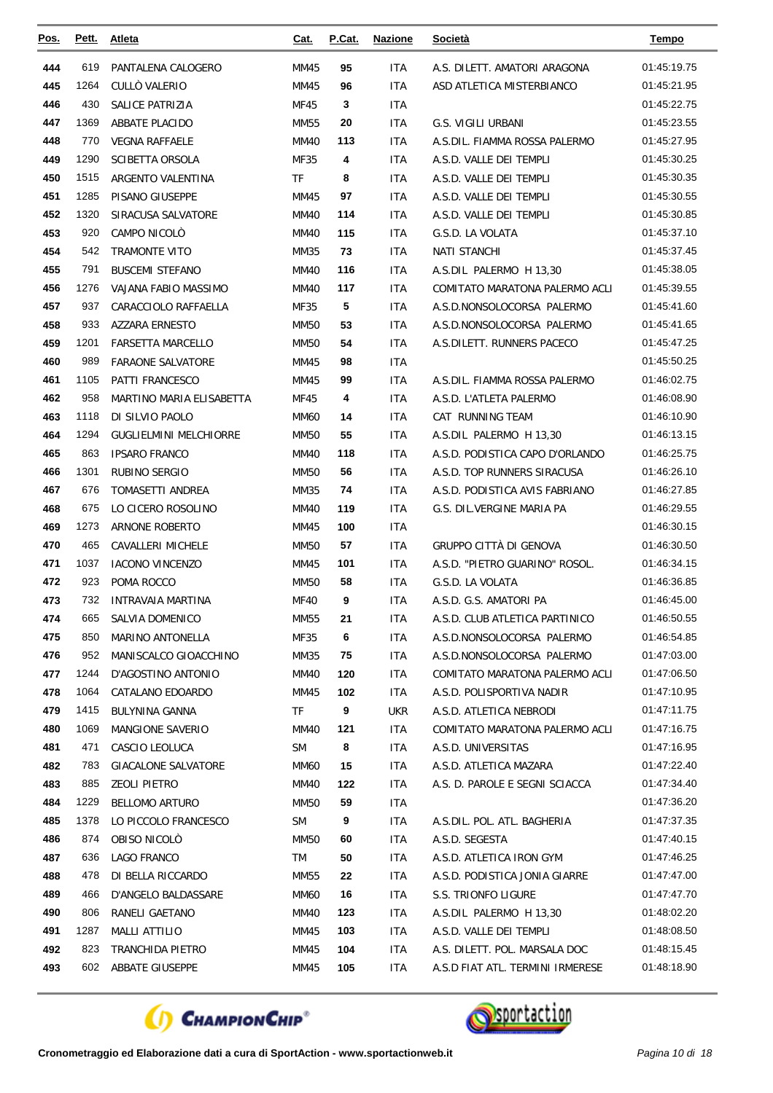| Pos.       | Pett.        | <b>Atleta</b>                      | <u>Cat.</u>  | P.Cat.   | <b>Nazione</b>     | <u>Società</u>                             | Tempo                      |
|------------|--------------|------------------------------------|--------------|----------|--------------------|--------------------------------------------|----------------------------|
| 444        | 619          | PANTALENA CALOGERO                 | MM45         | 95       | <b>ITA</b>         | A.S. DILETT. AMATORI ARAGONA               | 01:45:19.75                |
| 445        | 1264         | CULLO VALERIO                      | MM45         | 96       | <b>ITA</b>         | ASD ATLETICA MISTERBIANCO                  | 01:45:21.95                |
| 446        | 430          | <b>SALICE PATRIZIA</b>             | MF45         | 3        | <b>ITA</b>         |                                            | 01:45:22.75                |
| 447        | 1369         | ABBATE PLACIDO                     | MM55         | 20       | ITA                | G.S. VIGILI URBANI                         | 01:45:23.55                |
| 448        | 770          | <b>VEGNA RAFFAELE</b>              | <b>MM40</b>  | 113      | <b>ITA</b>         | A.S.DIL. FIAMMA ROSSA PALERMO              | 01:45:27.95                |
| 449        | 1290         | <b>SCIBETTA ORSOLA</b>             | MF35         | 4        | <b>ITA</b>         | A.S.D. VALLE DEI TEMPLI                    | 01:45:30.25                |
| 450        | 1515         | ARGENTO VALENTINA                  | <b>TF</b>    | 8        | ITA                | A.S.D. VALLE DEI TEMPLI                    | 01:45:30.35                |
| 451        | 1285         | PISANO GIUSEPPE                    | MM45         | 97       | ITA                | A.S.D. VALLE DEI TEMPLI                    | 01:45:30.55                |
| 452        | 1320         | SIRACUSA SALVATORE                 | <b>MM40</b>  | 114      | <b>ITA</b>         | A.S.D. VALLE DEI TEMPLI                    | 01:45:30.85                |
| 453        | 920          | CAMPO NICOLO                       | <b>MM40</b>  | 115      | <b>ITA</b>         | G.S.D. LA VOLATA                           | 01:45:37.10                |
| 454        | 542          | TRAMONTE VITO                      | MM35         | 73       | ITA                | <b>NATI STANCHI</b>                        | 01:45:37.45                |
| 455        | 791          | <b>BUSCEMI STEFANO</b>             | <b>MM40</b>  | 116      | <b>ITA</b>         | A.S.DIL PALERMO H 13,30                    | 01:45:38.05                |
| 456        | 1276         | VAJANA FABIO MASSIMO               | <b>MM40</b>  | 117      | ITA                | COMITATO MARATONA PALERMO ACLI             | 01:45:39.55                |
| 457        | 937          | CARACCIOLO RAFFAELLA               | MF35         | 5        | <b>ITA</b>         | A.S.D.NONSOLOCORSA PALERMO                 | 01:45:41.60                |
| 458        | 933          | <b>AZZARA ERNESTO</b>              | MM50         | 53       | <b>ITA</b>         | A.S.D.NONSOLOCORSA PALERMO                 | 01:45:41.65                |
| 459        | 1201         | <b>FARSETTA MARCELLO</b>           | <b>MM50</b>  | 54       | <b>ITA</b>         | A.S.DILETT. RUNNERS PACECO                 | 01:45:47.25                |
| 460        | 989          | <b>FARAONE SALVATORE</b>           | MM45         | 98       | <b>ITA</b>         |                                            | 01:45:50.25                |
| 461        | 1105         | <b>PATTI FRANCESCO</b>             | MM45         | 99       | <b>ITA</b>         | A.S.DIL. FIAMMA ROSSA PALERMO              | 01:46:02.75                |
| 462        | 958          | MARTINO MARIA ELISABETTA           | MF45         | 4        | ITA                | A.S.D. L'ATLETA PALERMO                    | 01:46:08.90                |
| 463        | 1118         | DI SILVIO PAOLO                    | MM60         | 14       | <b>ITA</b>         | CAT RUNNING TEAM                           | 01:46:10.90                |
| 464        | 1294         | <b>GUGLIELMINI MELCHIORRE</b>      | <b>MM50</b>  | 55       | <b>ITA</b>         | A.S.DIL PALERMO H 13,30                    | 01:46:13.15                |
| 465        | 863          | <b>IPSARO FRANCO</b>               | <b>MM40</b>  | 118      | ITA                | A.S.D. PODISTICA CAPO D'ORLANDO            | 01:46:25.75                |
| 466        | 1301         | <b>RUBINO SERGIO</b>               | MM50         | 56       | ITA                | A.S.D. TOP RUNNERS SIRACUSA                | 01:46:26.10                |
| 467        | 676          | TOMASETTI ANDREA                   | MM35         | 74       | <b>ITA</b>         | A.S.D. PODISTICA AVIS FABRIANO             | 01:46:27.85                |
| 468        | 675          | LO CICERO ROSOLINO                 | <b>MM40</b>  | 119      | <b>ITA</b>         | G.S. DIL.VERGINE MARIA PA                  | 01:46:29.55                |
| 469        | 1273         | ARNONE ROBERTO                     | MM45         | 100      | <b>ITA</b>         |                                            | 01:46:30.15                |
| 470        | 465          | CAVALLERI MICHELE                  | MM50         | 57       | ITA                | GRUPPO CITTÀ DI GENOVA                     | 01:46:30.50                |
| 471        | 1037         | <b>IACONO VINCENZO</b>             | MM45         | 101      | <b>ITA</b>         | A.S.D. "PIETRO GUARINO" ROSOL.             | 01:46:34.15                |
| 472        | 923          | POMA ROCCO                         | <b>MM50</b>  | 58       | ITA                | G.S.D. LA VOLATA                           | 01:46:36.85                |
| 473        | 732          | INTRAVAIA MARTINA                  | <b>MF40</b>  | 9        | ITA                | A.S.D. G.S. AMATORI PA                     | 01:46:45.00                |
| 474        | 665          | SALVIA DOMENICO                    | MM55         | 21       | <b>ITA</b>         | A.S.D. CLUB ATLETICA PARTINICO             | 01:46:50.55                |
| 475        | 850          | MARINO ANTONELLA                   | MF35         | 6        | <b>ITA</b>         | A.S.D.NONSOLOCORSA PALERMO                 | 01:46:54.85                |
| 476        | 952          | MANISCALCO GIOACCHINO              | MM35         | 75       | ITA.               | A.S.D.NONSOLOCORSA PALERMO                 | 01:47:03.00                |
| 477        | 1244         | D'AGOSTINO ANTONIO                 | MM40         | 120      | <b>ITA</b>         | COMITATO MARATONA PALERMO ACLI             | 01:47:06.50                |
| 478        | 1064         | CATALANO EDOARDO                   | MM45         | 102      | <b>ITA</b>         | A.S.D. POLISPORTIVA NADIR                  | 01:47:10.95                |
| 479        | 1415         | <b>BULYNINA GANNA</b>              | TF           | 9        | ukr                | A.S.D. ATLETICA NEBRODI                    | 01:47:11.75                |
| 480        | 1069         | <b>MANGIONE SAVERIO</b>            | MM40         | 121      | ITA.               | COMITATO MARATONA PALERMO ACLI             | 01:47:16.75                |
| 481        | 471          | CASCIO LEOLUCA                     | <b>SM</b>    | 8        | ITA                | A.S.D. UNIVERSITAS                         | 01:47:16.95                |
| 482        | 783          | <b>GIACALONE SALVATORE</b>         | MM60         | 15       | ITA.               | A.S.D. ATLETICA MAZARA                     | 01:47:22.40                |
| 483        | 885          | ZEOLI PIETRO                       | MM40         | 122      | ITA.               | A.S. D. PAROLE E SEGNI SCIACCA             | 01:47:34.40                |
| 484<br>485 | 1229<br>1378 | <b>BELLOMO ARTURO</b>              | MM50         | 59<br>9  | <b>ITA</b>         |                                            | 01:47:36.20                |
|            |              | LO PICCOLO FRANCESCO               | <b>SM</b>    |          | <b>ITA</b>         | A.S.DIL. POL. ATL. BAGHERIA                | 01:47:37.35                |
| 486<br>487 | 874<br>636   | OBISO NICOLO<br><b>LAGO FRANCO</b> | MM50         | 60<br>50 | ITA.               | A.S.D. SEGESTA<br>A.S.D. ATLETICA IRON GYM | 01:47:40.15<br>01:47:46.25 |
| 488        | 478          | DI BELLA RICCARDO                  | TM           | 22       | <b>ITA</b>         | A.S.D. PODISTICA JONIA GIARRE              | 01:47:47.00                |
| 489        | 466          | D'ANGELO BALDASSARE                | MM55<br>MM60 | 16       | <b>ITA</b><br>ITA. | S.S. TRIONFO LIGURE                        | 01:47:47.70                |
| 490        | 806          | RANELI GAETANO                     | MM40         | 123      | ITA.               | A.S.DIL PALERMO H 13,30                    | 01:48:02.20                |
| 491        | 1287         | <b>MALLI ATTILIO</b>               | MM45         | 103      | ITA.               | A.S.D. VALLE DEI TEMPLI                    | 01:48:08.50                |
| 492        | 823          | TRANCHIDA PIETRO                   | MM45         | 104      | <b>ITA</b>         | A.S. DILETT. POL. MARSALA DOC              | 01:48:15.45                |
| 493        | 602          | ABBATE GIUSEPPE                    | MM45         | 105      | ITA.               | A.S.D FIAT ATL. TERMINI IRMERESE           | 01:48:18.90                |
|            |              |                                    |              |          |                    |                                            |                            |



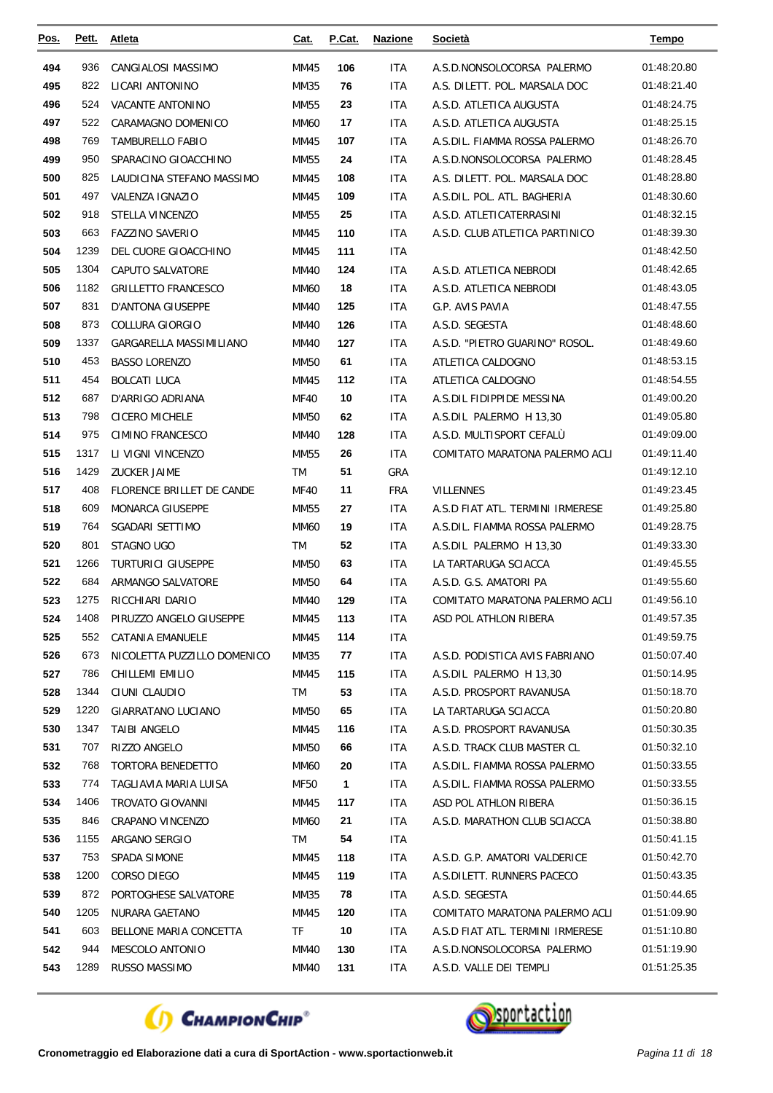| <u>Pos.</u> | Pett.       | Atleta                           | Cat.                | P.Cat.       | <b>Nazione</b> | Società                                               | <u>Tempo</u>               |
|-------------|-------------|----------------------------------|---------------------|--------------|----------------|-------------------------------------------------------|----------------------------|
| 494         | 936         | CANGIALOSI MASSIMO               | MM45                | 106          | ITA            | A.S.D.NONSOLOCORSA PALERMO                            | 01:48:20.80                |
| 495         | 822         | LICARI ANTONINO                  | MM35                | 76           | ITA            | A.S. DILETT. POL. MARSALA DOC                         | 01:48:21.40                |
| 496         | 524         | <b>VACANTE ANTONINO</b>          | <b>MM55</b>         | 23           | <b>ITA</b>     | A.S.D. ATLETICA AUGUSTA                               | 01:48:24.75                |
| 497         | 522         | CARAMAGNO DOMENICO               | MM60                | 17           | <b>ITA</b>     | A.S.D. ATLETICA AUGUSTA                               | 01:48:25.15                |
| 498         | 769         | TAMBURELLO FABIO                 | MM45                | 107          | ITA            | A.S.DIL. FIAMMA ROSSA PALERMO                         | 01:48:26.70                |
| 499         | 950         | SPARACINO GIOACCHINO             | <b>MM55</b>         | 24           | <b>ITA</b>     | A.S.D.NONSOLOCORSA PALERMO                            | 01:48:28.45                |
| 500         | 825         | LAUDICINA STEFANO MASSIMO        | MM45                | 108          | ITA            | A.S. DILETT. POL. MARSALA DOC                         | 01:48:28.80                |
| 501         | 497         | VALENZA IGNAZIO                  | MM45                | 109          | ITA            | A.S.DIL. POL. ATL. BAGHERIA                           | 01:48:30.60                |
| 502         | 918         | STELLA VINCENZO                  | MM55                | 25           | ITA            | A.S.D. ATLETICATERRASINI                              | 01:48:32.15                |
| 503         | 663         | <b>FAZZINO SAVERIO</b>           | MM45                | 110          | <b>ITA</b>     | A.S.D. CLUB ATLETICA PARTINICO                        | 01:48:39.30                |
| 504         | 1239        | DEL CUORE GIOACCHINO             | MM45                | 111          | ITA            |                                                       | 01:48:42.50                |
| 505         | 1304        | CAPUTO SALVATORE                 | MM40                | 124          | ITA            | A.S.D. ATLETICA NEBRODI                               | 01:48:42.65                |
| 506         | 1182        | <b>GRILLETTO FRANCESCO</b>       | <b>MM60</b>         | 18           | <b>ITA</b>     | A.S.D. ATLETICA NEBRODI                               | 01:48:43.05                |
| 507         | 831         | <b>D'ANTONA GIUSEPPE</b>         | MM40                | 125          | <b>ITA</b>     | G.P. AVIS PAVIA                                       | 01:48:47.55                |
| 508         | 873         | COLLURA GIORGIO                  | MM40                | 126          | ITA            | A.S.D. SEGESTA                                        | 01:48:48.60                |
| 509         | 1337        | GARGARELLA MASSIMILIANO          | MM40                | 127          | ITA            | A.S.D. "PIETRO GUARINO" ROSOL.                        | 01:48:49.60                |
| 510         | 453         | <b>BASSO LORENZO</b>             | <b>MM50</b>         | 61           | ITA            | ATLETICA CALDOGNO                                     | 01:48:53.15                |
| 511         | 454         | <b>BOLCATI LUCA</b>              | MM45                | 112          | ITA            | ATLETICA CALDOGNO                                     | 01:48:54.55                |
| 512         | 687         | D'ARRIGO ADRIANA                 | MF40                | 10           | <b>ITA</b>     | A.S.DIL FIDIPPIDE MESSINA                             | 01:49:00.20                |
| 513         | 798         | <b>CICERO MICHELE</b>            | <b>MM50</b>         | 62           | <b>ITA</b>     | A.S.DIL PALERMO H 13,30                               | 01:49:05.80                |
| 514         | 975         | CIMINO FRANCESCO                 | MM40                | 128          | ITA            | A.S.D. MULTISPORT CEFALÙ                              | 01:49:09.00                |
| 515         | 1317        | LI VIGNI VINCENZO                | <b>MM55</b>         | 26           | <b>ITA</b>     | COMITATO MARATONA PALERMO ACLI                        | 01:49:11.40                |
| 516         | 1429        | <b>ZUCKER JAIME</b>              | TM                  | 51           | GRA            |                                                       | 01:49:12.10                |
| 517         | 408         | FLORENCE BRILLET DE CANDE        | <b>MF40</b>         | 11           | <b>FRA</b>     | <b>VILLENNES</b>                                      | 01:49:23.45                |
| 518         | 609         | <b>MONARCA GIUSEPPE</b>          | MM55                | 27           | ITA            | A.S.D FIAT ATL. TERMINI IRMERESE                      | 01:49:25.80                |
| 519         | 764         | SGADARI SETTIMO                  | <b>MM60</b>         | 19           | ITA            | A.S.DIL. FIAMMA ROSSA PALERMO                         | 01:49:28.75                |
| 520         | 801         | STAGNO UGO                       | TM                  | 52           | <b>ITA</b>     | A.S.DIL PALERMO H 13,30                               | 01:49:33.30                |
| 521         | 1266        | <b>TURTURICI GIUSEPPE</b>        | MM50                | 63           | ITA            | LA TARTARUGA SCIACCA                                  | 01:49:45.55                |
| 522         | 684         | ARMANGO SALVATORE                | <b>MM50</b>         | 64           | ITA            | A.S.D. G.S. AMATORI PA                                | 01:49:55.60                |
| 523         | 1275        | RICCHIARI DARIO                  | MM40                | 129          | ITA            | COMITATO MARATONA PALERMO ACLI                        | 01:49:56.10                |
| 524         | 1408        | PIRUZZO ANGELO GIUSEPPE          | MM45                | 113          | ITA            | ASD POL ATHLON RIBERA                                 | 01:49:57.35                |
| 525         | 552         | CATANIA EMANUELE                 | MM45                | 114          | ITA            |                                                       | 01:49:59.75                |
| 526         | 673         | NICOLETTA PUZZILLO DOMENICO      | MM35                | 77           | ITA            | A.S.D. PODISTICA AVIS FABRIANO                        | 01:50:07.40                |
| 527         | 786         | CHILLEMI EMILIO                  | MM45                | 115          | ITA.           | A.S.DIL PALERMO H 13,30                               | 01:50:14.95                |
| 528         | 1344        | CIUNI CLAUDIO                    | TM                  | 53           | ITA            | A.S.D. PROSPORT RAVANUSA                              | 01:50:18.70                |
| 529         | 1220        | GIARRATANO LUCIANO               | MM50                | 65           | ITA.           | LA TARTARUGA SCIACCA                                  | 01:50:20.80                |
| 530         | 1347        | <b>TAIBI ANGELO</b>              | MM45                | 116          | <b>ITA</b>     | A.S.D. PROSPORT RAVANUSA                              | 01:50:30.35                |
| 531         | 707         | RIZZO ANGELO                     | MM50                | 66           | ITA            | A.S.D. TRACK CLUB MASTER CL                           | 01:50:32.10                |
| 532         | 768         | <b>TORTORA BENEDETTO</b>         | MM60                | 20           | ITA.           | A.S.DIL. FIAMMA ROSSA PALERMO                         | 01:50:33.55                |
| 533         | 774         | TAGLIAVIA MARIA LUISA            | MF50                | $\mathbf{1}$ | ITA            | A.S.DIL. FIAMMA ROSSA PALERMO                         | 01:50:33.55                |
| 534         | 1406        | TROVATO GIOVANNI                 | MM45                | 117          | ITA.           | ASD POL ATHLON RIBERA                                 | 01:50:36.15                |
| 535         | 846         | CRAPANO VINCENZO                 | MM60                | 21           | <b>ITA</b>     | A.S.D. MARATHON CLUB SCIACCA                          | 01:50:38.80                |
| 536         | 1155        | ARGANO SERGIO                    | TM                  | 54           | <b>ITA</b>     |                                                       | 01:50:41.15                |
| 537         | 753         | SPADA SIMONE                     | MM45                | 118          | ITA.           | A.S.D. G.P. AMATORI VALDERICE                         | 01:50:42.70                |
| 538         | 1200        | CORSO DIEGO                      | MM45                | 119          | <b>ITA</b>     | A.S.DILETT. RUNNERS PACECO                            | 01:50:43.35                |
| 539         | 872<br>1205 | PORTOGHESE SALVATORE             | MM35                | 78           | ITA            | A.S.D. SEGESTA                                        | 01:50:44.65                |
| 540<br>541  |             | NURARA GAETANO                   | MM45                | 120<br>10    | ITA            | COMITATO MARATONA PALERMO ACLI                        | 01:51:09.90<br>01:51:10.80 |
| 542         | 603<br>944  | BELLONE MARIA CONCETTA           | TF                  |              | ITA.           | A.S.D FIAT ATL. TERMINI IRMERESE                      | 01:51:19.90                |
| 543         | 1289        | MESCOLO ANTONIO<br>RUSSO MASSIMO | MM40<br><b>MM40</b> | 130<br>131   | ITA<br>ITA     | A.S.D.NONSOLOCORSA PALERMO<br>A.S.D. VALLE DEI TEMPLI | 01:51:25.35                |
|             |             |                                  |                     |              |                |                                                       |                            |



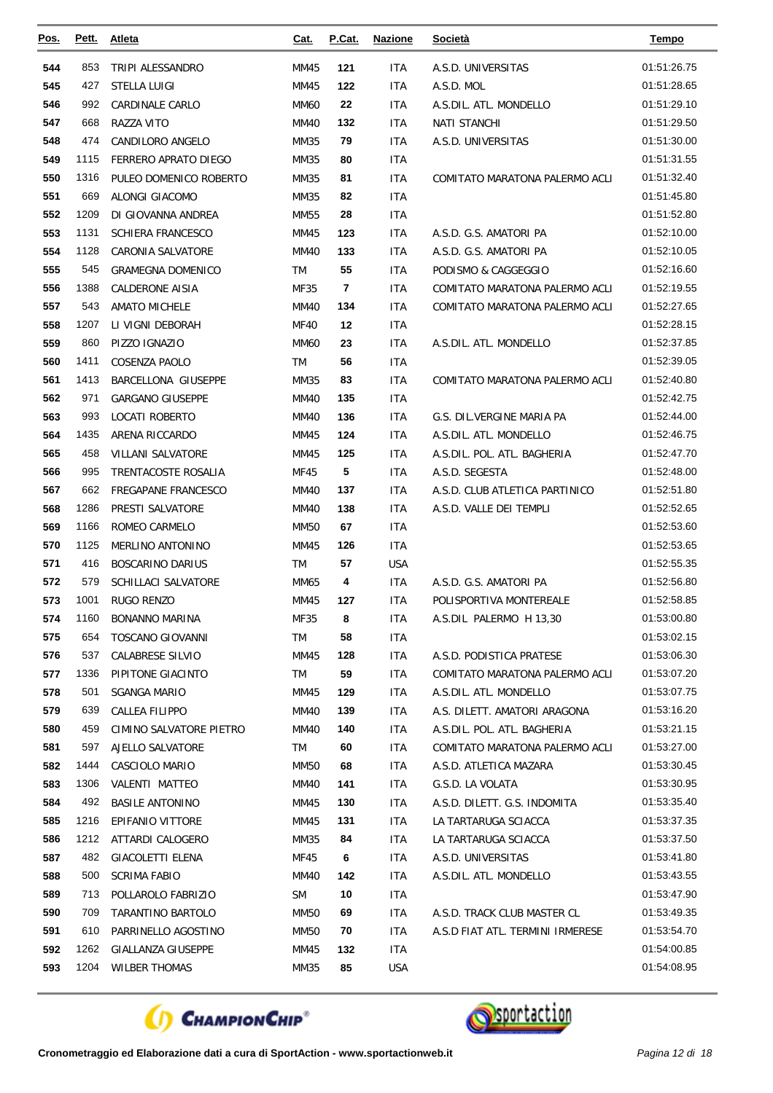| Pos.       | Pett. | <b>Atleta</b>            | Cat.        | P.Cat. | <b>Nazione</b> | <b>Società</b>                   | <b>Tempo</b>               |
|------------|-------|--------------------------|-------------|--------|----------------|----------------------------------|----------------------------|
| 544        | 853   | TRIPI ALESSANDRO         | MM45        | 121    | ITA            | A.S.D. UNIVERSITAS               | 01:51:26.75                |
| 545        | 427   | <b>STELLA LUIGI</b>      | MM45        | 122    | <b>ITA</b>     | A.S.D. MOL                       | 01:51:28.65                |
| 546        | 992   | CARDINALE CARLO          | <b>MM60</b> | 22     | ITA            | A.S.DIL. ATL. MONDELLO           | 01:51:29.10                |
| 547        | 668   | RAZZA VITO               | <b>MM40</b> | 132    | ITA            | NATI STANCHI                     | 01:51:29.50                |
| 548        | 474   | CANDILORO ANGELO         | MM35        | 79     | ITA            | A.S.D. UNIVERSITAS               | 01:51:30.00                |
| 549        | 1115  | FERRERO APRATO DIEGO     | MM35        | 80     | <b>ITA</b>     |                                  | 01:51:31.55                |
| 550        | 1316  | PULEO DOMENICO ROBERTO   | MM35        | 81     | <b>ITA</b>     | COMITATO MARATONA PALERMO ACLI   | 01:51:32.40                |
| 551        | 669   | ALONGI GIACOMO           | MM35        | 82     | <b>ITA</b>     |                                  | 01:51:45.80                |
| 552        | 1209  | DI GIOVANNA ANDREA       | <b>MM55</b> | 28     | <b>ITA</b>     |                                  | 01:51:52.80                |
| 553        | 1131  | <b>SCHIERA FRANCESCO</b> | MM45        | 123    | <b>ITA</b>     | A.S.D. G.S. AMATORI PA           | 01:52:10.00                |
| 554        | 1128  | CARONIA SALVATORE        | MM40        | 133    | ITA            | A.S.D. G.S. AMATORI PA           | 01:52:10.05                |
| 555        | 545   | <b>GRAMEGNA DOMENICO</b> | TM          | 55     | ITA            | PODISMO & CAGGEGGIO              | 01:52:16.60                |
| 556        | 1388  | <b>CALDERONE AISIA</b>   | <b>MF35</b> | 7      | ITA            | COMITATO MARATONA PALERMO ACLI   | 01:52:19.55                |
| 557        | 543   | <b>AMATO MICHELE</b>     | MM40        | 134    | <b>ITA</b>     | COMITATO MARATONA PALERMO ACLI   | 01:52:27.65                |
| 558        | 1207  | LI VIGNI DEBORAH         | <b>MF40</b> | 12     | <b>ITA</b>     |                                  | 01:52:28.15                |
| 559        | 860   | PIZZO IGNAZIO            | <b>MM60</b> | 23     | <b>ITA</b>     | A.S.DIL. ATL. MONDELLO           | 01:52:37.85                |
| 560        | 1411  | COSENZA PAOLO            | <b>TM</b>   | 56     | <b>ITA</b>     |                                  | 01:52:39.05                |
| 561        | 1413  | BARCELLONA GIUSEPPE      | MM35        | 83     | <b>ITA</b>     | COMITATO MARATONA PALERMO ACLI   | 01:52:40.80                |
| 562        | 971   | <b>GARGANO GIUSEPPE</b>  | MM40        | 135    | ITA            |                                  | 01:52:42.75                |
| 563        | 993   | <b>LOCATI ROBERTO</b>    | <b>MM40</b> | 136    | <b>ITA</b>     | G.S. DIL.VERGINE MARIA PA        | 01:52:44.00                |
| 564        | 1435  | ARENA RICCARDO           | MM45        | 124    | ITA            | A.S.DIL. ATL. MONDELLO           | 01:52:46.75                |
| 565        | 458   | <b>VILLANI SALVATORE</b> | MM45        | 125    | <b>ITA</b>     | A.S.DIL. POL. ATL. BAGHERIA      | 01:52:47.70                |
| 566        | 995   | TRENTACOSTE ROSALIA      | <b>MF45</b> | 5      | <b>ITA</b>     | A.S.D. SEGESTA                   | 01:52:48.00                |
| 567        | 662   | FREGAPANE FRANCESCO      | MM40        | 137    | ITA            | A.S.D. CLUB ATLETICA PARTINICO   | 01:52:51.80                |
| 568        | 1286  | PRESTI SALVATORE         | <b>MM40</b> | 138    | <b>ITA</b>     | A.S.D. VALLE DEI TEMPLI          | 01:52:52.65                |
| 569        | 1166  | ROMEO CARMELO            | MM50        | 67     | <b>ITA</b>     |                                  | 01:52:53.60                |
| 570        | 1125  | MERLINO ANTONINO         | MM45        | 126    | <b>ITA</b>     |                                  | 01:52:53.65                |
| 571        | 416   | BOSCARINO DARIUS         | TM          | 57     | <b>USA</b>     |                                  | 01:52:55.35                |
| 572        | 579   | SCHILLACI SALVATORE      | MM65        | 4      | ITA            | A.S.D. G.S. AMATORI PA           | 01:52:56.80                |
| 573        | 1001  | RUGO RENZO               | MM45        | 127    | <b>ITA</b>     | POLISPORTIVA MONTEREALE          | 01:52:58.85                |
| 574        | 1160  | <b>BONANNO MARINA</b>    | MF35        | 8      | <b>ITA</b>     | A.S.DIL PALERMO H 13,30          | 01:53:00.80                |
| 575        | 654   | <b>TOSCANO GIOVANNI</b>  | TM          | 58     | <b>ITA</b>     |                                  | 01:53:02.15                |
| 576        | 537   | <b>CALABRESE SILVIO</b>  | MM45        | 128    | ITA            | A.S.D. PODISTICA PRATESE         | 01:53:06.30                |
| 577        | 1336  | PIPITONE GIACINTO        | TM          | 59     | <b>ITA</b>     | COMITATO MARATONA PALERMO ACLI   | 01:53:07.20                |
| 578        | 501   | SGANGA MARIO             | MM45        | 129    | ITA.           | A.S.DIL. ATL. MONDELLO           | 01:53:07.75                |
| 579        | 639   | CALLEA FILIPPO           | MM40        | 139    | ITA            | A.S. DILETT. AMATORI ARAGONA     | 01:53:16.20                |
| 580        | 459   | CIMINO SALVATORE PIETRO  | MM40        | 140    | ITA.           | A.S.DIL. POL. ATL. BAGHERIA      | 01:53:21.15                |
| 581        | 597   | AJELLO SALVATORE         | TM          | 60     | <b>ITA</b>     | COMITATO MARATONA PALERMO ACLI   | 01:53:27.00                |
| 582        | 1444  | CASCIOLO MARIO           | MM50        | 68     | ITA            | A.S.D. ATLETICA MAZARA           | 01:53:30.45                |
| 583        | 1306  | VALENTI MATTEO           | MM40        | 141    | ITA.           | G.S.D. LA VOLATA                 | 01:53:30.95                |
| 584        | 492   | <b>BASILE ANTONINO</b>   | MM45        | 130    | ITA            | A.S.D. DILETT. G.S. INDOMITA     | 01:53:35.40                |
| 585        | 1216  | EPIFANIO VITTORE         | MM45        | 131    | ITA.           | LA TARTARUGA SCIACCA             | 01:53:37.35                |
| 586        | 1212  | ATTARDI CALOGERO         | MM35        | 84     | ITA.           | LA TARTARUGA SCIACCA             | 01:53:37.50                |
| 587        | 482   | <b>GIACOLETTI ELENA</b>  | MF45        | 6      | ITA.           | A.S.D. UNIVERSITAS               | 01:53:41.80                |
| 588        | 500   | <b>SCRIMA FABIO</b>      | MM40        | 142    | ITA            | A.S.DIL. ATL. MONDELLO           | 01:53:43.55                |
| 589        | 713   | POLLAROLO FABRIZIO       | <b>SM</b>   | 10     | <b>ITA</b>     |                                  | 01:53:47.90                |
| 590<br>591 | 709   | TARANTINO BARTOLO        | MM50        | 69     | ITA            | A.S.D. TRACK CLUB MASTER CL      | 01:53:49.35<br>01:53:54.70 |
|            | 610   | PARRINELLO AGOSTINO      | MM50        | 70     | <b>ITA</b>     | A.S.D FIAT ATL. TERMINI IRMERESE |                            |
| 592        | 1262  | GIALLANZA GIUSEPPE       | MM45        | 132    | <b>ITA</b>     |                                  | 01:54:00.85<br>01:54:08.95 |
| 593        | 1204  | <b>WILBER THOMAS</b>     | MM35        | 85     | <b>USA</b>     |                                  |                            |



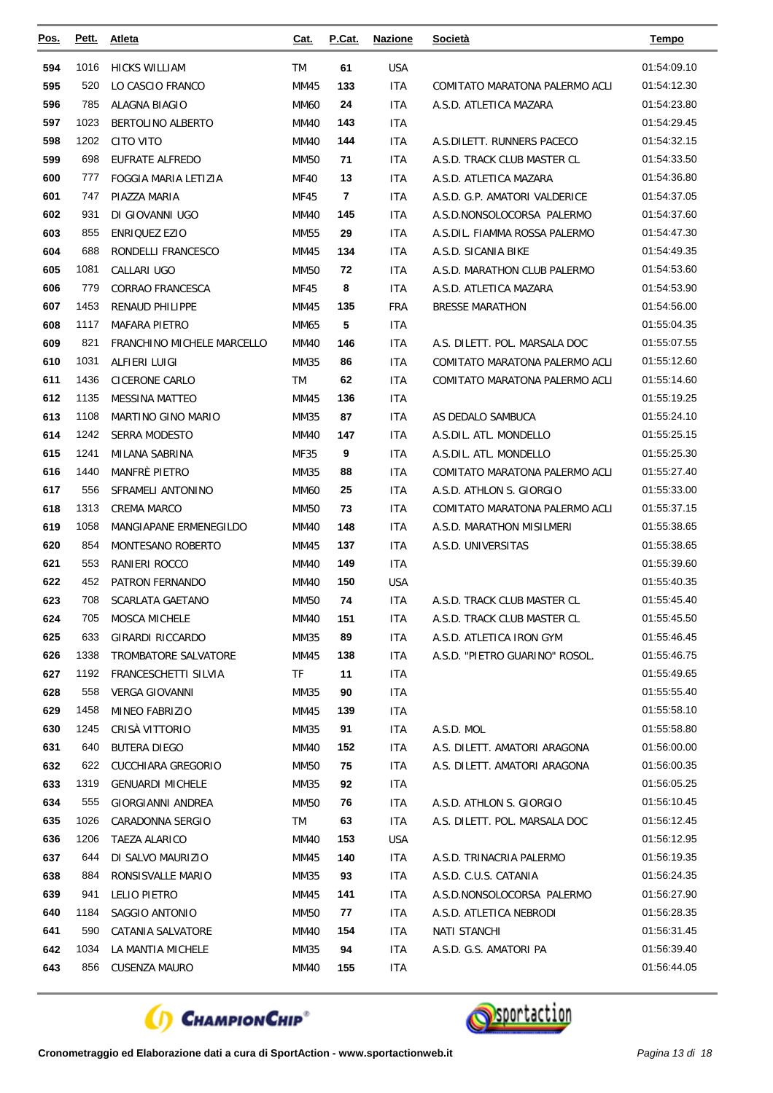| Pos. | Pett. | Atleta                      | Cat.        | P.Cat. | <b>Nazione</b> | <b>Società</b>                 | <u>Tempo</u> |
|------|-------|-----------------------------|-------------|--------|----------------|--------------------------------|--------------|
| 594  | 1016  | <b>HICKS WILLIAM</b>        | TM          | 61     | <b>USA</b>     |                                | 01:54:09.10  |
| 595  | 520   | LO CASCIO FRANCO            | MM45        | 133    | <b>ITA</b>     | COMITATO MARATONA PALERMO ACLI | 01:54:12.30  |
| 596  | 785   | ALAGNA BIAGIO               | <b>MM60</b> | 24     | ITA            | A.S.D. ATLETICA MAZARA         | 01:54:23.80  |
| 597  | 1023  | <b>BERTOLINO ALBERTO</b>    | MM40        | 143    | <b>ITA</b>     |                                | 01:54:29.45  |
| 598  | 1202  | <b>CITO VITO</b>            | MM40        | 144    | ITA            | A.S.DILETT. RUNNERS PACECO     | 01:54:32.15  |
| 599  | 698   | EUFRATE ALFREDO             | <b>MM50</b> | 71     | <b>ITA</b>     | A.S.D. TRACK CLUB MASTER CL    | 01:54:33.50  |
| 600  | 777   | <b>FOGGIA MARIA LETIZIA</b> | <b>MF40</b> | 13     | <b>ITA</b>     | A.S.D. ATLETICA MAZARA         | 01:54:36.80  |
| 601  | 747   | PIAZZA MARIA                | MF45        | 7      | ITA            | A.S.D. G.P. AMATORI VALDERICE  | 01:54:37.05  |
| 602  | 931   | DI GIOVANNI UGO             | <b>MM40</b> | 145    | <b>ITA</b>     | A.S.D.NONSOLOCORSA PALERMO     | 01:54:37.60  |
| 603  | 855   | ENRIQUEZ EZIO               | MM55        | 29     | ITA            | A.S.DIL. FIAMMA ROSSA PALERMO  | 01:54:47.30  |
| 604  | 688   | RONDELLI FRANCESCO          | MM45        | 134    | ITA            | A.S.D. SICANIA BIKE            | 01:54:49.35  |
| 605  | 1081  | CALLARI UGO                 | <b>MM50</b> | 72     | ITA            | A.S.D. MARATHON CLUB PALERMO   | 01:54:53.60  |
| 606  | 779   | <b>CORRAO FRANCESCA</b>     | MF45        | 8      | <b>ITA</b>     | A.S.D. ATLETICA MAZARA         | 01:54:53.90  |
| 607  | 1453  | <b>RENAUD PHILIPPE</b>      | MM45        | 135    | <b>FRA</b>     | <b>BRESSE MARATHON</b>         | 01:54:56.00  |
| 608  | 1117  | <b>MAFARA PIETRO</b>        | MM65        | 5      | ITA            |                                | 01:55:04.35  |
| 609  | 821   | FRANCHINO MICHELE MARCELLO  | <b>MM40</b> | 146    | ITA            | A.S. DILETT. POL. MARSALA DOC  | 01:55:07.55  |
| 610  | 1031  | ALFIERI LUIGI               | MM35        | 86     | ITA            | COMITATO MARATONA PALERMO ACLI | 01:55:12.60  |
| 611  | 1436  | CICERONE CARLO              | TM          | 62     | <b>ITA</b>     | COMITATO MARATONA PALERMO ACLI | 01:55:14.60  |
| 612  | 1135  | <b>MESSINA MATTEO</b>       | MM45        | 136    | ITA            |                                | 01:55:19.25  |
| 613  | 1108  | MARTINO GINO MARIO          | MM35        | 87     | <b>ITA</b>     | AS DEDALO SAMBUCA              | 01:55:24.10  |
| 614  | 1242  | <b>SERRA MODESTO</b>        | MM40        | 147    | ITA            | A.S.DIL. ATL. MONDELLO         | 01:55:25.15  |
| 615  | 1241  | MILANA SABRINA              | MF35        | 9      | <b>ITA</b>     | A.S.DIL. ATL. MONDELLO         | 01:55:25.30  |
| 616  | 1440  | <b>MANFRÈ PIETRO</b>        | MM35        | 88     | <b>ITA</b>     | COMITATO MARATONA PALERMO ACLI | 01:55:27.40  |
| 617  | 556   | SFRAMELI ANTONINO           | MM60        | 25     | ITA            | A.S.D. ATHLON S. GIORGIO       | 01:55:33.00  |
| 618  | 1313  | <b>CREMA MARCO</b>          | <b>MM50</b> | 73     | <b>ITA</b>     | COMITATO MARATONA PALERMO ACLI | 01:55:37.15  |
| 619  | 1058  | MANGIAPANE ERMENEGILDO      | MM40        | 148    | ITA            | A.S.D. MARATHON MISILMERI      | 01:55:38.65  |
| 620  | 854   | MONTESANO ROBERTO           | MM45        | 137    | ITA            | A.S.D. UNIVERSITAS             | 01:55:38.65  |
| 621  | 553   | RANIERI ROCCO               | MM40        | 149    | ITA            |                                | 01:55:39.60  |
| 622  | 452   | <b>PATRON FERNANDO</b>      | MM40        | 150    | <b>USA</b>     |                                | 01:55:40.35  |
| 623  | 708   | <b>SCARLATA GAETANO</b>     | <b>MM50</b> | 74     | <b>ITA</b>     | A.S.D. TRACK CLUB MASTER CL    | 01:55:45.40  |
| 624  | 705   | MOSCA MICHELE               | <b>MM40</b> | 151    | ITA            | A.S.D. TRACK CLUB MASTER CL    | 01:55:45.50  |
| 625  | 633   | GIRARDI RICCARDO            | <b>MM35</b> | 89     | ITA            | A.S.D. ATLETICA IRON GYM       | 01:55:46.45  |
| 626  | 1338  | TROMBATORE SALVATORE        | MM45        | 138    | ITA            | A.S.D. "PIETRO GUARINO" ROSOL. | 01:55:46.75  |
| 627  | 1192  | FRANCESCHETTI SILVIA        | TF          | 11     | ITA            |                                | 01:55:49.65  |
| 628  | 558   | <b>VERGA GIOVANNI</b>       | MM35        | 90     | ITA            |                                | 01:55:55.40  |
| 629  | 1458  | MINEO FABRIZIO              | MM45        | 139    | ITA            |                                | 01:55:58.10  |
| 630  | 1245  | CRISÀ VITTORIO              | MM35        | 91     | ITA            | A.S.D. MOL                     | 01:55:58.80  |
| 631  | 640   | <b>BUTERA DIEGO</b>         | MM40        | 152    | ITA            | A.S. DILETT. AMATORI ARAGONA   | 01:56:00.00  |
| 632  | 622   | CUCCHIARA GREGORIO          | MM50        | 75     | ITA            | A.S. DILETT. AMATORI ARAGONA   | 01:56:00.35  |
| 633  | 1319  | <b>GENUARDI MICHELE</b>     | MM35        | 92     | ITA            |                                | 01:56:05.25  |
| 634  | 555   | GIORGIANNI ANDREA           | MM50        | 76     | ITA            | A.S.D. ATHLON S. GIORGIO       | 01:56:10.45  |
| 635  | 1026  | CARADONNA SERGIO            | TM          | 63     | ITA            | A.S. DILETT. POL. MARSALA DOC  | 01:56:12.45  |
| 636  | 1206  | <b>TAEZA ALARICO</b>        | MM40        | 153    | USA            |                                | 01:56:12.95  |
| 637  | 644   | DI SALVO MAURIZIO           | MM45        | 140    | ITA            | A.S.D. TRINACRIA PALERMO       | 01:56:19.35  |
| 638  | 884   | RONSISVALLE MARIO           | MM35        | 93     | ITA            | A.S.D. C.U.S. CATANIA          | 01:56:24.35  |
| 639  | 941   | LELIO PIETRO                | MM45        | 141    | ITA            | A.S.D.NONSOLOCORSA PALERMO     | 01:56:27.90  |
| 640  | 1184  | SAGGIO ANTONIO              | MM50        | 77     | ITA            | A.S.D. ATLETICA NEBRODI        | 01:56:28.35  |
| 641  | 590   | CATANIA SALVATORE           | MM40        | 154    | ITA            | <b>NATI STANCHI</b>            | 01:56:31.45  |
| 642  | 1034  | LA MANTIA MICHELE           | MM35        | 94     | ITA            | A.S.D. G.S. AMATORI PA         | 01:56:39.40  |
| 643  | 856   | CUSENZA MAURO               | MM40        | 155    | ITA            |                                | 01:56:44.05  |



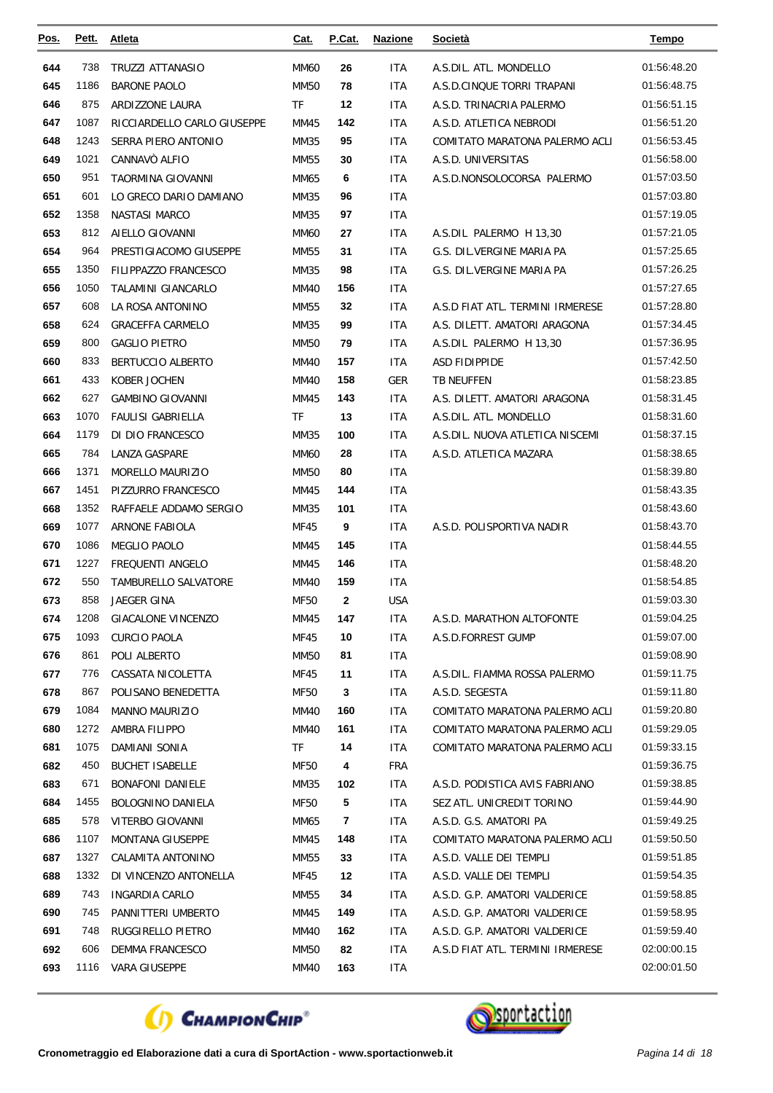| <u>Pos.</u> | Pett. | <b>Atleta</b>               | Cat.        | P.Cat. | <b>Nazione</b> | <b>Società</b>                   | Tempo       |
|-------------|-------|-----------------------------|-------------|--------|----------------|----------------------------------|-------------|
| 644         | 738   | <b>TRUZZI ATTANASIO</b>     | MM60        | 26     | ITA            | A.S.DIL. ATL. MONDELLO           | 01:56:48.20 |
| 645         | 1186  | <b>BARONE PAOLO</b>         | <b>MM50</b> | 78     | ITA            | A.S.D.CINQUE TORRI TRAPANI       | 01:56:48.75 |
| 646         | 875   | <b>ARDIZZONE LAURA</b>      | <b>TF</b>   | 12     | ITA            | A.S.D. TRINACRIA PALERMO         | 01:56:51.15 |
| 647         | 1087  | RICCIARDELLO CARLO GIUSEPPE | MM45        | 142    | ITA            | A.S.D. ATLETICA NEBRODI          | 01:56:51.20 |
| 648         | 1243  | SERRA PIERO ANTONIO         | MM35        | 95     | ITA            | COMITATO MARATONA PALERMO ACLI   | 01:56:53.45 |
| 649         | 1021  | CANNAVÒ ALFIO               | <b>MM55</b> | 30     | <b>ITA</b>     | A.S.D. UNIVERSITAS               | 01:56:58.00 |
| 650         | 951   | TAORMINA GIOVANNI           | MM65        | 6      | ITA            | A.S.D.NONSOLOCORSA PALERMO       | 01:57:03.50 |
| 651         | 601   | LO GRECO DARIO DAMIANO      | MM35        | 96     | <b>ITA</b>     |                                  | 01:57:03.80 |
| 652         | 1358  | <b>NASTASI MARCO</b>        | MM35        | 97     | ITA            |                                  | 01:57:19.05 |
| 653         | 812   | AIELLO GIOVANNI             | MM60        | 27     | ITA            | A.S.DIL PALERMO H 13,30          | 01:57:21.05 |
| 654         | 964   | PRESTIGIACOMO GIUSEPPE      | MM55        | 31     | ITA            | G.S. DIL.VERGINE MARIA PA        | 01:57:25.65 |
| 655         | 1350  | <b>FILIPPAZZO FRANCESCO</b> | MM35        | 98     | <b>ITA</b>     | G.S. DIL.VERGINE MARIA PA        | 01:57:26.25 |
| 656         | 1050  | TALAMINI GIANCARLO          | MM40        | 156    | ITA            |                                  | 01:57:27.65 |
| 657         | 608   | LA ROSA ANTONINO            | MM55        | 32     | <b>ITA</b>     | A.S.D FIAT ATL. TERMINI IRMERESE | 01:57:28.80 |
| 658         | 624   | <b>GRACEFFA CARMELO</b>     | MM35        | 99     | ITA            | A.S. DILETT. AMATORI ARAGONA     | 01:57:34.45 |
| 659         | 800   | <b>GAGLIO PIETRO</b>        | MM50        | 79     | ITA            | A.S.DIL PALERMO H 13,30          | 01:57:36.95 |
| 660         | 833   | BERTUCCIO ALBERTO           | <b>MM40</b> | 157    | ITA            | <b>ASD FIDIPPIDE</b>             | 01:57:42.50 |
| 661         | 433   | KOBER JOCHEN                | MM40        | 158    | <b>GER</b>     | <b>TB NEUFFEN</b>                | 01:58:23.85 |
| 662         | 627   | <b>GAMBINO GIOVANNI</b>     | MM45        | 143    | <b>ITA</b>     | A.S. DILETT. AMATORI ARAGONA     | 01:58:31.45 |
| 663         | 1070  | <b>FAULISI GABRIELLA</b>    | TF          | 13     | <b>ITA</b>     | A.S.DIL. ATL. MONDELLO           | 01:58:31.60 |
| 664         | 1179  | DI DIO FRANCESCO            | MM35        | 100    | ITA            | A.S.DIL. NUOVA ATLETICA NISCEMI  | 01:58:37.15 |
| 665         | 784   | LANZA GASPARE               | <b>MM60</b> | 28     | <b>ITA</b>     | A.S.D. ATLETICA MAZARA           | 01:58:38.65 |
| 666         | 1371  | MORELLO MAURIZIO            | MM50        | 80     | ITA            |                                  | 01:58:39.80 |
| 667         | 1451  | PIZZURRO FRANCESCO          | MM45        | 144    | ITA            |                                  | 01:58:43.35 |
| 668         | 1352  | RAFFAELE ADDAMO SERGIO      | MM35        | 101    | ITA            |                                  | 01:58:43.60 |
| 669         | 1077  | <b>ARNONE FABIOLA</b>       | MF45        | 9      | ITA            | A.S.D. POLISPORTIVA NADIR        | 01:58:43.70 |
| 670         | 1086  | MEGLIO PAOLO                | MM45        | 145    | <b>ITA</b>     |                                  | 01:58:44.55 |
| 671         | 1227  | FREQUENTI ANGELO            | MM45        | 146    | <b>ITA</b>     |                                  | 01:58:48.20 |
| 672         | 550   | TAMBURELLO SALVATORE        | MM40        | 159    | <b>ITA</b>     |                                  | 01:58:54.85 |
| 673         | 858   | <b>JAEGER GINA</b>          | MF50        | 2      | <b>USA</b>     |                                  | 01:59:03.30 |
| 674         | 1208  | <b>GIACALONE VINCENZO</b>   | MM45        | 147    | <b>ITA</b>     | A.S.D. MARATHON ALTOFONTE        | 01:59:04.25 |
| 675         | 1093  | <b>CURCIO PAOLA</b>         | MF45        | 10     | ITA.           | A.S.D.FORREST GUMP               | 01:59:07.00 |
| 676         | 861   | POLI ALBERTO                | MM50        | 81     | ITA            |                                  | 01:59:08.90 |
| 677         | 776   | CASSATA NICOLETTA           | MF45        | 11     | ITA.           | A.S.DIL. FIAMMA ROSSA PALERMO    | 01:59:11.75 |
| 678         | 867   | POLISANO BENEDETTA          | MF50        | 3      | ITA            | A.S.D. SEGESTA                   | 01:59:11.80 |
| 679         | 1084  | <b>MANNO MAURIZIO</b>       | MM40        | 160    | ITA.           | COMITATO MARATONA PALERMO ACLI   | 01:59:20.80 |
| 680         | 1272  | AMBRA FILIPPO               | MM40        | 161    | <b>ITA</b>     | COMITATO MARATONA PALERMO ACLI   | 01:59:29.05 |
| 681         | 1075  | DAMIANI SONIA               | TF          | 14     | ITA            | COMITATO MARATONA PALERMO ACLI   | 01:59:33.15 |
| 682         | 450   | <b>BUCHET ISABELLE</b>      | MF50        | 4      | FRA            |                                  | 01:59:36.75 |
| 683         | 671   | <b>BONAFONI DANIELE</b>     | MM35        | 102    | ITA            | A.S.D. PODISTICA AVIS FABRIANO   | 01:59:38.85 |
| 684         | 1455  | BOLOGNINO DANIELA           | <b>MF50</b> | 5      | ITA            | SEZ ATL. UNICREDIT TORINO        | 01:59:44.90 |
| 685         | 578   | VITERBO GIOVANNI            | MM65        | 7      | ITA            | A.S.D. G.S. AMATORI PA           | 01:59:49.25 |
| 686         | 1107  | <b>MONTANA GIUSEPPE</b>     | MM45        | 148    | ITA.           | COMITATO MARATONA PALERMO ACLI   | 01:59:50.50 |
| 687         | 1327  | CALAMITA ANTONINO           | MM55        | 33     | ITA.           | A.S.D. VALLE DEI TEMPLI          | 01:59:51.85 |
| 688         | 1332  | DI VINCENZO ANTONELLA       | MF45        | 12     | ITA            | A.S.D. VALLE DEI TEMPLI          | 01:59:54.35 |
| 689         | 743   | INGARDIA CARLO              | MM55        | 34     | ITA            | A.S.D. G.P. AMATORI VALDERICE    | 01:59:58.85 |
| 690         | 745   | PANNITTERI UMBERTO          | MM45        | 149    | ITA.           | A.S.D. G.P. AMATORI VALDERICE    | 01:59:58.95 |
| 691         | 748   | RUGGIRELLO PIETRO           | MM40        | 162    | ITA.           | A.S.D. G.P. AMATORI VALDERICE    | 01:59:59.40 |
| 692         | 606   | DEMMA FRANCESCO             | MM50        | 82     | ITA            | A.S.D FIAT ATL. TERMINI IRMERESE | 02:00:00.15 |
| 693         |       | 1116 VARA GIUSEPPE          | <b>MM40</b> | 163    | ITA            |                                  | 02:00:01.50 |



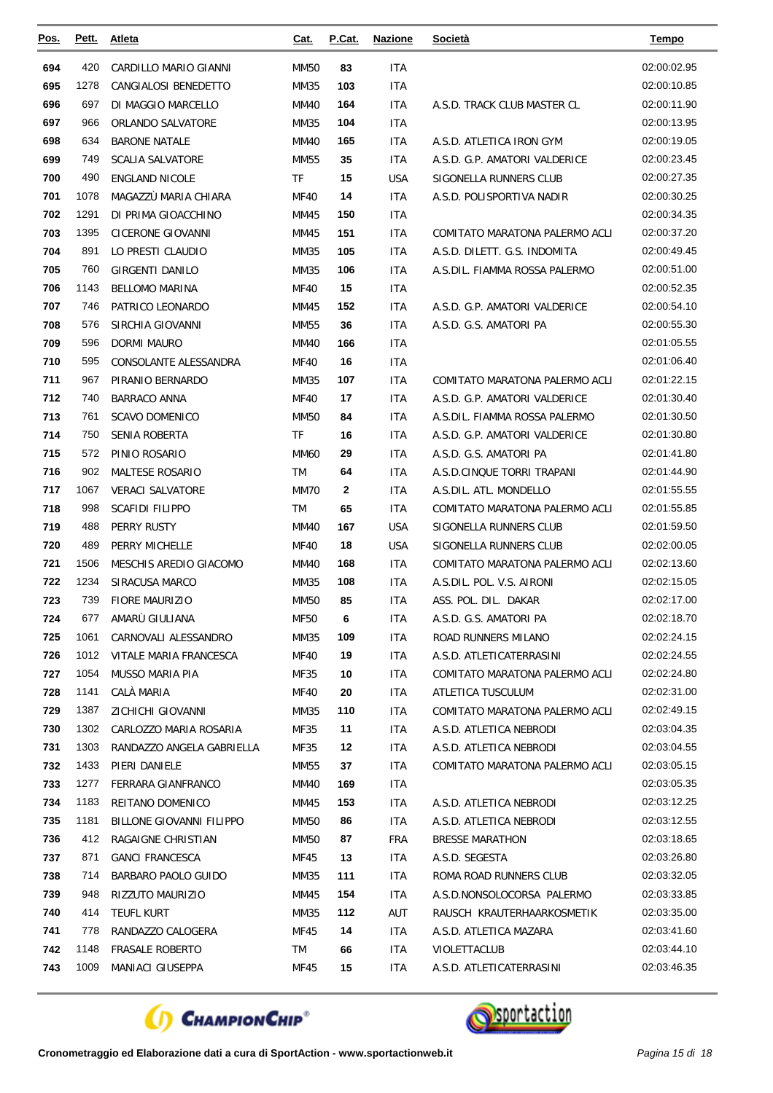| Pos.       | Pett.        | <b>Atleta</b>                 | Cat.         | P.Cat.    | <b>Nazione</b>    | <b>Società</b>                                      | Tempo                      |
|------------|--------------|-------------------------------|--------------|-----------|-------------------|-----------------------------------------------------|----------------------------|
| 694        | 420          | CARDILLO MARIO GIANNI         | <b>MM50</b>  | 83        | <b>ITA</b>        |                                                     | 02:00:02.95                |
| 695        | 1278         | CANGIALOSI BENEDETTO          | MM35         | 103       | <b>ITA</b>        |                                                     | 02:00:10.85                |
| 696        | 697          | DI MAGGIO MARCELLO            | <b>MM40</b>  | 164       | <b>ITA</b>        | A.S.D. TRACK CLUB MASTER CL                         | 02:00:11.90                |
| 697        | 966          | ORLANDO SALVATORE             | MM35         | 104       | <b>ITA</b>        |                                                     | 02:00:13.95                |
| 698        | 634          | <b>BARONE NATALE</b>          | MM40         | 165       | <b>ITA</b>        | A.S.D. ATLETICA IRON GYM                            | 02:00:19.05                |
| 699        | 749          | <b>SCALIA SALVATORE</b>       | MM55         | 35        | <b>ITA</b>        | A.S.D. G.P. AMATORI VALDERICE                       | 02:00:23.45                |
| 700        | 490          | <b>ENGLAND NICOLE</b>         | TF           | 15        | <b>USA</b>        | SIGONELLA RUNNERS CLUB                              | 02:00:27.35                |
| 701        | 1078         | MAGAZZÙ MARIA CHIARA          | <b>MF40</b>  | 14        | <b>ITA</b>        | A.S.D. POLISPORTIVA NADIR                           | 02:00:30.25                |
| 702        | 1291         | DI PRIMA GIOACCHINO           | MM45         | 150       | <b>ITA</b>        |                                                     | 02:00:34.35                |
| 703        | 1395         | CICERONE GIOVANNI             | MM45         | 151       | <b>ITA</b>        | COMITATO MARATONA PALERMO ACLI                      | 02:00:37.20                |
| 704        | 891          | LO PRESTI CLAUDIO             | MM35         | 105       | <b>ITA</b>        | A.S.D. DILETT. G.S. INDOMITA                        | 02:00:49.45                |
| 705        | 760          | GIRGENTI DANILO               | MM35         | 106       | <b>ITA</b>        | A.S.DIL. FIAMMA ROSSA PALERMO                       | 02:00:51.00                |
| 706        | 1143         | <b>BELLOMO MARINA</b>         | <b>MF40</b>  | 15        | <b>ITA</b>        |                                                     | 02:00:52.35                |
| 707        | 746          | PATRICO LEONARDO              | MM45         | 152       | <b>ITA</b>        | A.S.D. G.P. AMATORI VALDERICE                       | 02:00:54.10                |
| 708        | 576          | SIRCHIA GIOVANNI              | MM55         | 36        | <b>ITA</b>        | A.S.D. G.S. AMATORI PA                              | 02:00:55.30                |
| 709        | 596          | DORMI MAURO                   | MM40         | 166       | <b>ITA</b>        |                                                     | 02:01:05.55                |
| 710        | 595          | CONSOLANTE ALESSANDRA         | <b>MF40</b>  | 16        | <b>ITA</b>        |                                                     | 02:01:06.40                |
| 711        | 967          | PIRANIO BERNARDO              | MM35         | 107       | <b>ITA</b>        | COMITATO MARATONA PALERMO ACLI                      | 02:01:22.15                |
| 712        | 740          | <b>BARRACO ANNA</b>           | <b>MF40</b>  | 17        | <b>ITA</b>        | A.S.D. G.P. AMATORI VALDERICE                       | 02:01:30.40                |
| 713        | 761          | <b>SCAVO DOMENICO</b>         | <b>MM50</b>  | 84        | <b>ITA</b>        | A.S.DIL. FIAMMA ROSSA PALERMO                       | 02:01:30.50                |
| 714        | 750          | SENIA ROBERTA                 | TF           | 16        | <b>ITA</b>        | A.S.D. G.P. AMATORI VALDERICE                       | 02:01:30.80                |
| 715        | 572          | PINIO ROSARIO                 | <b>MM60</b>  | 29        | <b>ITA</b>        | A.S.D. G.S. AMATORI PA                              | 02:01:41.80                |
| 716        | 902          | <b>MALTESE ROSARIO</b>        | TM           | 64        | ITA               | A.S.D.CINQUE TORRI TRAPANI                          | 02:01:44.90                |
| 717        | 1067         | <b>VERACI SALVATORE</b>       | <b>MM70</b>  | 2         | <b>ITA</b>        | A.S.DIL. ATL. MONDELLO                              | 02:01:55.55                |
| 718        | 998          | <b>SCAFIDI FILIPPO</b>        | TM           | 65        | <b>ITA</b>        | COMITATO MARATONA PALERMO ACLI                      | 02:01:55.85                |
| 719        | 488          | PERRY RUSTY                   | <b>MM40</b>  | 167       | <b>USA</b>        | SIGONELLA RUNNERS CLUB                              | 02:01:59.50                |
| 720        | 489          | PERRY MICHELLE                | <b>MF40</b>  | 18        | <b>USA</b>        | SIGONELLA RUNNERS CLUB                              | 02:02:00.05                |
| 721        | 1506         | MESCHIS AREDIO GIACOMO        | <b>MM40</b>  | 168       | <b>ITA</b>        | COMITATO MARATONA PALERMO ACLI                      | 02:02:13.60                |
| 722        | 1234         | SIRACUSA MARCO                | MM35         | 108       | <b>ITA</b>        | A.S.DIL. POL. V.S. AIRONI                           | 02:02:15.05                |
| 723        | 739          | <b>FIORE MAURIZIO</b>         | MM50         | 85        | <b>ITA</b>        | ASS. POL. DIL. DAKAR                                | 02:02:17.00                |
| 724        | 677          | AMARÙ GIULIANA                | <b>MF50</b>  | 6         | <b>ITA</b>        | A.S.D. G.S. AMATORI PA                              | 02:02:18.70                |
| 725        | 1061         | CARNOVALI ALESSANDRO          | MM35         | 109       | ITA               | ROAD RUNNERS MILANO                                 | 02:02:24.15                |
| 726        | 1012         | VITALE MARIA FRANCESCA        | <b>MF40</b>  | 19        | <b>ITA</b>        | A.S.D. ATLETICATERRASINI                            | 02:02:24.55                |
| 727        | 1054<br>1141 | MUSSO MARIA PIA<br>CALÀ MARIA | MF35         | 10        | ITA               | COMITATO MARATONA PALERMO ACLI                      | 02:02:24.80                |
| 728<br>729 | 1387         | ZICHICHI GIOVANNI             | MF40         | 20<br>110 | ITA<br><b>ITA</b> | ATLETICA TUSCULUM<br>COMITATO MARATONA PALERMO ACLI | 02:02:31.00<br>02:02:49.15 |
| 730        | 1302         | CARLOZZO MARIA ROSARIA        | MM35<br>MF35 | 11        | <b>ITA</b>        | A.S.D. ATLETICA NEBRODI                             | 02:03:04.35                |
| 731        | 1303         | RANDAZZO ANGELA GABRIELLA     | MF35         | 12        | ITA               | A.S.D. ATLETICA NEBRODI                             | 02:03:04.55                |
| 732        | 1433         | PIERI DANIELE                 | MM55         | 37        | <b>ITA</b>        | COMITATO MARATONA PALERMO ACLI                      | 02:03:05.15                |
| 733        | 1277         | FERRARA GIANFRANCO            | MM40         | 169       | ITA               |                                                     | 02:03:05.35                |
| 734        | 1183         | REITANO DOMENICO              | MM45         | 153       | ITA.              | A.S.D. ATLETICA NEBRODI                             | 02:03:12.25                |
| 735        | 1181         | BILLONE GIOVANNI FILIPPO      | MM50         | 86        | <b>ITA</b>        | A.S.D. ATLETICA NEBRODI                             | 02:03:12.55                |
| 736        | 412          | RAGAIGNE CHRISTIAN            | MM50         | 87        | FRA               | <b>BRESSE MARATHON</b>                              | 02:03:18.65                |
| 737        | 871          | <b>GANCI FRANCESCA</b>        | MF45         | 13        | <b>ITA</b>        | A.S.D. SEGESTA                                      | 02:03:26.80                |
| 738        | 714          | BARBARO PAOLO GUIDO           | MM35         | 111       | ITA.              | ROMA ROAD RUNNERS CLUB                              | 02:03:32.05                |
| 739        | 948          | RIZZUTO MAURIZIO              | MM45         | 154       | ITA.              | A.S.D.NONSOLOCORSA PALERMO                          | 02:03:33.85                |
| 740        | 414          | <b>TEUFL KURT</b>             | MM35         | 112       | AUT               | RAUSCH KRAUTERHAARKOSMETIK                          | 02:03:35.00                |
| 741        | 778          | RANDAZZO CALOGERA             | MF45         | 14        | ITA.              | A.S.D. ATLETICA MAZARA                              | 02:03:41.60                |
| 742        | 1148         | <b>FRASALE ROBERTO</b>        | TM           | 66        | <b>ITA</b>        | VIOLETTACLUB                                        | 02:03:44.10                |
| 743        | 1009         | MANIACI GIUSEPPA              | MF45         | 15        | <b>ITA</b>        | A.S.D. ATLETICATERRASINI                            | 02:03:46.35                |
|            |              |                               |              |           |                   |                                                     |                            |



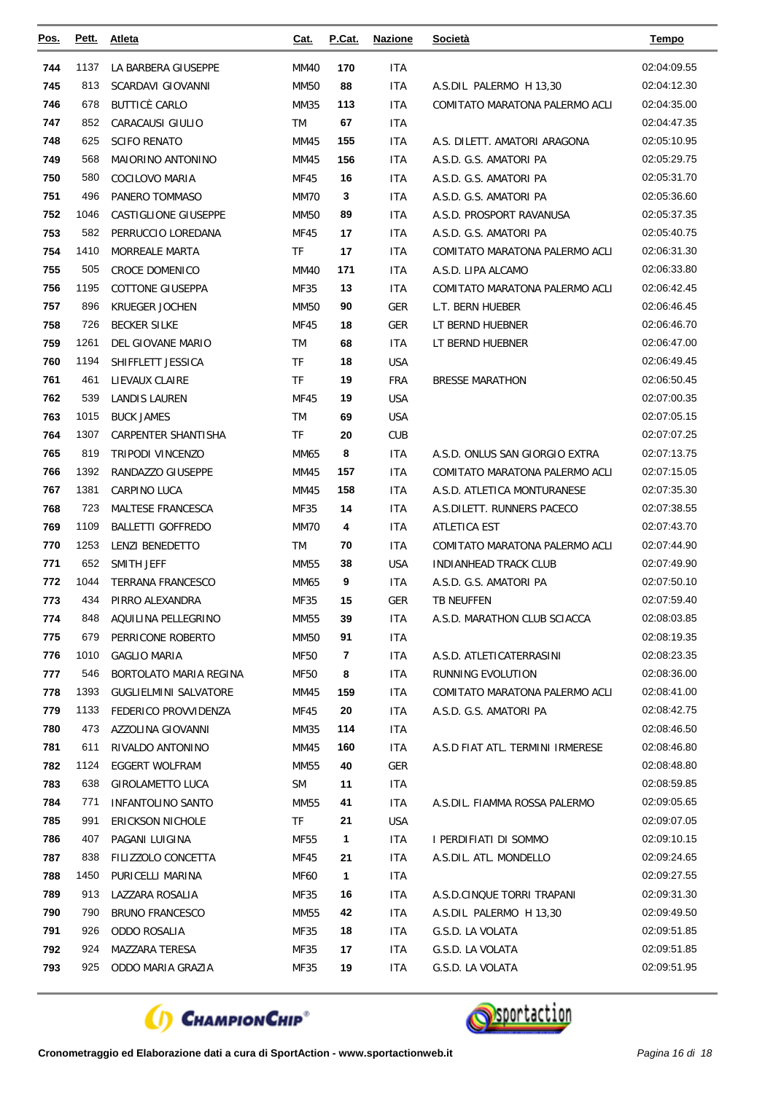| <u>Pos.</u> | Pett. | <b>Atleta</b>                | Cat.        | P.Cat.                  | <b>Nazione</b> | <b>Società</b>                   | <b>Tempo</b> |
|-------------|-------|------------------------------|-------------|-------------------------|----------------|----------------------------------|--------------|
| 744         | 1137  | LA BARBERA GIUSEPPE          | <b>MM40</b> | 170                     | ITA            |                                  | 02:04:09.55  |
| 745         | 813   | SCARDAVI GIOVANNI            | <b>MM50</b> | 88                      | <b>ITA</b>     | A.S.DIL PALERMO H 13,30          | 02:04:12.30  |
| 746         | 678   | <b>BUTTICÈ CARLO</b>         | MM35        | 113                     | ITA            | COMITATO MARATONA PALERMO ACLI   | 02:04:35.00  |
| 747         | 852   | CARACAUSI GIULIO             | TM          | 67                      | ITA            |                                  | 02:04:47.35  |
| 748         | 625   | <b>SCIFO RENATO</b>          | MM45        | 155                     | ITA            | A.S. DILETT. AMATORI ARAGONA     | 02:05:10.95  |
| 749         | 568   | MAIORINO ANTONINO            | MM45        | 156                     | <b>ITA</b>     | A.S.D. G.S. AMATORI PA           | 02:05:29.75  |
| 750         | 580   | COCILOVO MARIA               | MF45        | 16                      | ITA            | A.S.D. G.S. AMATORI PA           | 02:05:31.70  |
| 751         | 496   | PANERO TOMMASO               | MM70        | 3                       | ITA            | A.S.D. G.S. AMATORI PA           | 02:05:36.60  |
| 752         | 1046  | CASTIGLIONE GIUSEPPE         | <b>MM50</b> | 89                      | ITA            | A.S.D. PROSPORT RAVANUSA         | 02:05:37.35  |
| 753         | 582   | PERRUCCIO LOREDANA           | MF45        | 17                      | ITA            | A.S.D. G.S. AMATORI PA           | 02:05:40.75  |
| 754         | 1410  | <b>MORREALE MARTA</b>        | TF          | 17                      | ITA            | COMITATO MARATONA PALERMO ACLI   | 02:06:31.30  |
| 755         | 505   | <b>CROCE DOMENICO</b>        | MM40        | 171                     | ITA            | A.S.D. LIPA ALCAMO               | 02:06:33.80  |
| 756         | 1195  | <b>COTTONE GIUSEPPA</b>      | MF35        | 13                      | <b>ITA</b>     | COMITATO MARATONA PALERMO ACLI   | 02:06:42.45  |
| 757         | 896   | <b>KRUEGER JOCHEN</b>        | <b>MM50</b> | 90                      | <b>GER</b>     | L.T. BERN HUEBER                 | 02:06:46.45  |
| 758         | 726   | <b>BECKER SILKE</b>          | MF45        | 18                      | <b>GER</b>     | LT BERND HUEBNER                 | 02:06:46.70  |
| 759         | 1261  | DEL GIOVANE MARIO            | <b>TM</b>   | 68                      | <b>ITA</b>     | LT BERND HUEBNER                 | 02:06:47.00  |
| 760         | 1194  | SHIFFLETT JESSICA            | TF          | 18                      | <b>USA</b>     |                                  | 02:06:49.45  |
| 761         | 461   | LIEVAUX CLAIRE               | TF          | 19                      | <b>FRA</b>     | <b>BRESSE MARATHON</b>           | 02:06:50.45  |
| 762         | 539   | LANDIS LAUREN                | MF45        | 19                      | <b>USA</b>     |                                  | 02:07:00.35  |
| 763         | 1015  | <b>BUCK JAMES</b>            | <b>TM</b>   | 69                      | <b>USA</b>     |                                  | 02:07:05.15  |
| 764         | 1307  | CARPENTER SHANTISHA          | TF          | 20                      | <b>CUB</b>     |                                  | 02:07:07.25  |
| 765         | 819   | <b>TRIPODI VINCENZO</b>      | MM65        | 8                       | <b>ITA</b>     | A.S.D. ONLUS SAN GIORGIO EXTRA   | 02:07:13.75  |
| 766         | 1392  | RANDAZZO GIUSEPPE            | MM45        | 157                     | ITA            | COMITATO MARATONA PALERMO ACLI   | 02:07:15.05  |
| 767         | 1381  | CARPINO LUCA                 | MM45        | 158                     | ITA            | A.S.D. ATLETICA MONTURANESE      | 02:07:35.30  |
| 768         | 723   | MALTESE FRANCESCA            | MF35        | 14                      | ITA            | A.S.DILETT. RUNNERS PACECO       | 02:07:38.55  |
| 769         | 1109  | <b>BALLETTI GOFFREDO</b>     | <b>MM70</b> | 4                       | ITA            | ATLETICA EST                     | 02:07:43.70  |
| 770         | 1253  | <b>LENZI BENEDETTO</b>       | <b>TM</b>   | 70                      | ITA            | COMITATO MARATONA PALERMO ACLI   | 02:07:44.90  |
| 771         | 652   | SMITH JEFF                   | MM55        | 38                      | <b>USA</b>     | <b>INDIANHEAD TRACK CLUB</b>     | 02:07:49.90  |
| 772         | 1044  | <b>TERRANA FRANCESCO</b>     | MM65        | 9                       | ITA            | A.S.D. G.S. AMATORI PA           | 02:07:50.10  |
| 773         | 434   | PIRRO ALEXANDRA              | MF35        | 15                      | GER            | TB NEUFFEN                       | 02:07:59.40  |
| 774         | 848   | AQUILINA PELLEGRINO          | <b>MM55</b> | 39                      | <b>ITA</b>     | A.S.D. MARATHON CLUB SCIACCA     | 02:08:03.85  |
| 775         | 679   | PERRICONE ROBERTO            | MM50        | 91                      | ITA            |                                  | 02:08:19.35  |
| 776         | 1010  | <b>GAGLIO MARIA</b>          | <b>MF50</b> | $\overline{\mathbf{r}}$ | ITA            | A.S.D. ATLETICATERRASINI         | 02:08:23.35  |
| 777         | 546   | BORTOLATO MARIA REGINA       | <b>MF50</b> | 8                       | ITA            | RUNNING EVOLUTION                | 02:08:36.00  |
| 778         | 1393  | <b>GUGLIELMINI SALVATORE</b> | MM45        | 159                     | ITA            | COMITATO MARATONA PALERMO ACLI   | 02:08:41.00  |
| 779         | 1133  | FEDERICO PROVVIDENZA         | MF45        | 20                      | ITA            | A.S.D. G.S. AMATORI PA           | 02:08:42.75  |
| 780         | 473   | AZZOLINA GIOVANNI            | MM35        | 114                     | ITA            |                                  | 02:08:46.50  |
| 781         | 611   | RIVALDO ANTONINO             | MM45        | 160                     | ITA            | A.S.D FIAT ATL. TERMINI IRMERESE | 02:08:46.80  |
| 782         | 1124  | EGGERT WOLFRAM               | MM55        | 40                      | <b>GER</b>     |                                  | 02:08:48.80  |
| 783         | 638   | <b>GIROLAMETTO LUCA</b>      | <b>SM</b>   | 11                      | ITA            |                                  | 02:08:59.85  |
| 784         | 771   | <b>INFANTOLINO SANTO</b>     | <b>MM55</b> | 41                      | ITA            | A.S.DIL. FIAMMA ROSSA PALERMO    | 02:09:05.65  |
| 785         | 991   | <b>ERICKSON NICHOLE</b>      | TF          | 21                      | USA            |                                  | 02:09:07.05  |
| 786         | 407   | PAGANI LUIGINA               | <b>MF55</b> | 1                       | ITA.           | I PERDIFIATI DI SOMMO            | 02:09:10.15  |
| 787         | 838   | FILIZZOLO CONCETTA           | MF45        | 21                      | ITA            | A.S.DIL. ATL. MONDELLO           | 02:09:24.65  |
| 788         | 1450  | PURICELLI MARINA             | <b>MF60</b> | 1                       | ITA            |                                  | 02:09:27.55  |
| 789         | 913   | LAZZARA ROSALIA              | MF35        | 16                      | ITA            | A.S.D.CINQUE TORRI TRAPANI       | 02:09:31.30  |
| 790         | 790   | <b>BRUNO FRANCESCO</b>       | MM55        | 42                      | ITA            | A.S.DIL PALERMO H 13,30          | 02:09:49.50  |
| 791         | 926   | ODDO ROSALIA                 | MF35        | 18                      | ITA.           | G.S.D. LA VOLATA                 | 02:09:51.85  |
| 792         | 924   | MAZZARA TERESA               | MF35        | 17                      | ITA            | G.S.D. LA VOLATA                 | 02:09:51.85  |
| 793         | 925   | ODDO MARIA GRAZIA            | MF35        | 19                      | ITA            | G.S.D. LA VOLATA                 | 02:09:51.95  |



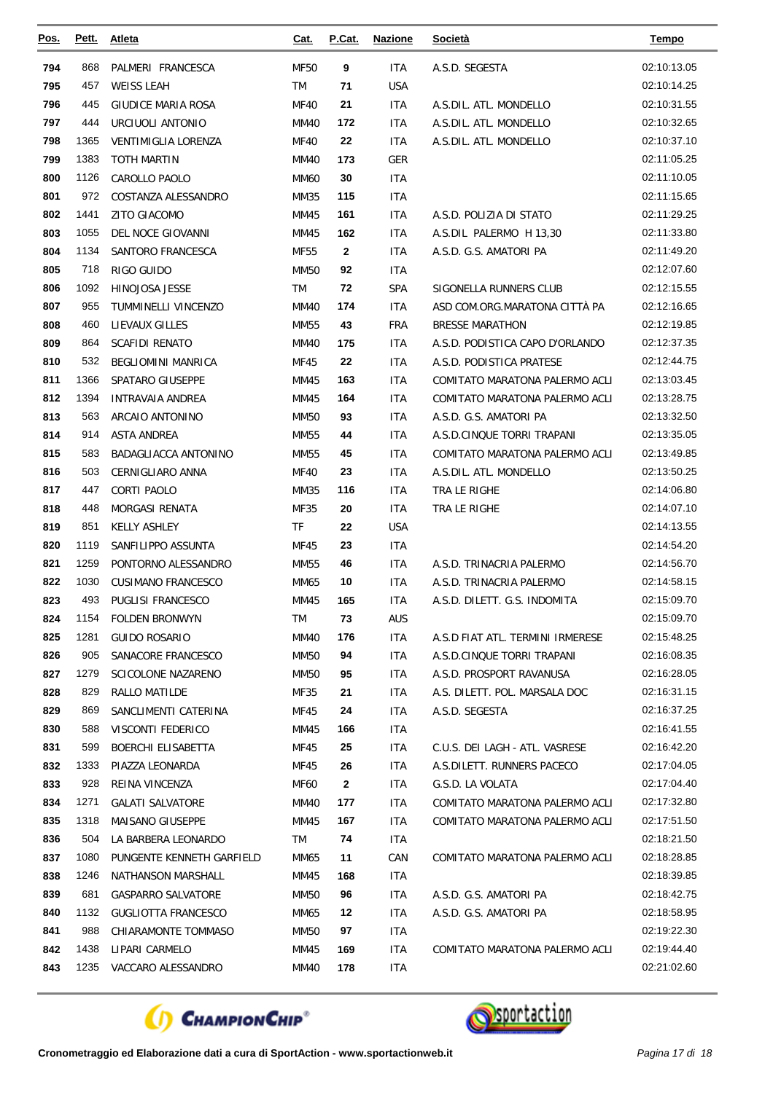| <u>Pos.</u> | Pett. | Atleta                     | <u>Cat.</u> | P.Cat.       | <b>Nazione</b> | Società                          | Tempo       |
|-------------|-------|----------------------------|-------------|--------------|----------------|----------------------------------|-------------|
| 794         | 868   | PALMERI FRANCESCA          | <b>MF50</b> | 9            | <b>ITA</b>     | A.S.D. SEGESTA                   | 02:10:13.05 |
| 795         | 457   | <b>WEISS LEAH</b>          | TM          | 71           | <b>USA</b>     |                                  | 02:10:14.25 |
| 796         | 445   | <b>GIUDICE MARIA ROSA</b>  | <b>MF40</b> | 21           | <b>ITA</b>     | A.S.DIL. ATL. MONDELLO           | 02:10:31.55 |
| 797         | 444   | URCIUOLI ANTONIO           | MM40        | 172          | ITA            | A.S.DIL. ATL. MONDELLO           | 02:10:32.65 |
| 798         | 1365  | <b>VENTIMIGLIA LORENZA</b> | <b>MF40</b> | 22           | <b>ITA</b>     | A.S.DIL. ATL. MONDELLO           | 02:10:37.10 |
| 799         | 1383  | TOTH MARTIN                | <b>MM40</b> | 173          | <b>GER</b>     |                                  | 02:11:05.25 |
| 800         | 1126  | CAROLLO PAOLO              | <b>MM60</b> | 30           | <b>ITA</b>     |                                  | 02:11:10.05 |
| 801         | 972   | COSTANZA ALESSANDRO        | MM35        | 115          | <b>ITA</b>     |                                  | 02:11:15.65 |
| 802         | 1441  | ZITO GIACOMO               | MM45        | 161          | <b>ITA</b>     | A.S.D. POLIZIA DI STATO          | 02:11:29.25 |
| 803         | 1055  | DEL NOCE GIOVANNI          | MM45        | 162          | <b>ITA</b>     | A.S.DIL PALERMO H 13,30          | 02:11:33.80 |
| 804         | 1134  | SANTORO FRANCESCA          | MF55        | 2            | ITA            | A.S.D. G.S. AMATORI PA           | 02:11:49.20 |
| 805         | 718   | RIGO GUIDO                 | <b>MM50</b> | 92           | <b>ITA</b>     |                                  | 02:12:07.60 |
| 806         | 1092  | <b>HINOJOSA JESSE</b>      | TM          | 72           | <b>SPA</b>     | SIGONELLA RUNNERS CLUB           | 02:12:15.55 |
| 807         | 955   | TUMMINELLI VINCENZO        | MM40        | 174          | <b>ITA</b>     | ASD COM.ORG.MARATONA CITTÀ PA    | 02:12:16.65 |
| 808         | 460   | LIEVAUX GILLES             | MM55        | 43           | <b>FRA</b>     | <b>BRESSE MARATHON</b>           | 02:12:19.85 |
| 809         | 864   | <b>SCAFIDI RENATO</b>      | <b>MM40</b> | 175          | <b>ITA</b>     | A.S.D. PODISTICA CAPO D'ORLANDO  | 02:12:37.35 |
| 810         | 532   | BEGLIOMINI MANRICA         | MF45        | 22           | <b>ITA</b>     | A.S.D. PODISTICA PRATESE         | 02:12:44.75 |
| 811         | 1366  | SPATARO GIUSEPPE           | MM45        | 163          | <b>ITA</b>     | COMITATO MARATONA PALERMO ACLI   | 02:13:03.45 |
| 812         | 1394  | INTRAVAIA ANDREA           | MM45        | 164          | <b>ITA</b>     | COMITATO MARATONA PALERMO ACLI   | 02:13:28.75 |
| 813         | 563   | ARCAIO ANTONINO            | <b>MM50</b> | 93           | <b>ITA</b>     | A.S.D. G.S. AMATORI PA           | 02:13:32.50 |
| 814         | 914   | <b>ASTA ANDREA</b>         | MM55        | 44           | <b>ITA</b>     | A.S.D.CINQUE TORRI TRAPANI       | 02:13:35.05 |
| 815         | 583   | BADAGLIACCA ANTONINO       | MM55        | 45           | <b>ITA</b>     | COMITATO MARATONA PALERMO ACLI   | 02:13:49.85 |
| 816         | 503   | CERNIGLIARO ANNA           | <b>MF40</b> | 23           | <b>ITA</b>     | A.S.DIL. ATL. MONDELLO           | 02:13:50.25 |
| 817         | 447   | CORTI PAOLO                | MM35        | 116          | <b>ITA</b>     | TRA LE RIGHE                     | 02:14:06.80 |
| 818         | 448   | MORGASI RENATA             | MF35        | 20           | <b>ITA</b>     | TRA LE RIGHE                     | 02:14:07.10 |
| 819         | 851   | <b>KELLY ASHLEY</b>        | <b>TF</b>   | 22           | <b>USA</b>     |                                  | 02:14:13.55 |
| 820         | 1119  | SANFILIPPO ASSUNTA         | MF45        | 23           | <b>ITA</b>     |                                  | 02:14:54.20 |
| 821         | 1259  | PONTORNO ALESSANDRO        | MM55        | 46           | <b>ITA</b>     | A.S.D. TRINACRIA PALERMO         | 02:14:56.70 |
| 822         | 1030  | <b>CUSIMANO FRANCESCO</b>  | MM65        | 10           | <b>ITA</b>     | A.S.D. TRINACRIA PALERMO         | 02:14:58.15 |
| 823         | 493   | PUGLISI FRANCESCO          | MM45        | 165          | <b>ITA</b>     | A.S.D. DILETT. G.S. INDOMITA     | 02:15:09.70 |
| 824         | 1154  | <b>FOLDEN BRONWYN</b>      | TM          | 73           | <b>AUS</b>     |                                  | 02:15:09.70 |
| 825         | 1281  | <b>GUIDO ROSARIO</b>       | MM40        | 176          | <b>ITA</b>     | A.S.D FIAT ATL. TERMINI IRMERESE | 02:15:48.25 |
| 826         | 905   | SANACORE FRANCESCO         | MM50        | 94           | ITA            | A.S.D.CINQUE TORRI TRAPANI       | 02:16:08.35 |
| 827         | 1279  | <b>SCICOLONE NAZARENO</b>  | <b>MM50</b> | 95           | <b>ITA</b>     | A.S.D. PROSPORT RAVANUSA         | 02:16:28.05 |
| 828         | 829   | RALLO MATILDE              | MF35        | 21           | ITA            | A.S. DILETT. POL. MARSALA DOC    | 02:16:31.15 |
| 829         | 869   | SANCLIMENTI CATERINA       | MF45        | 24           | ITA            | A.S.D. SEGESTA                   | 02:16:37.25 |
| 830         | 588   | VISCONTI FEDERICO          | MM45        | 166          | <b>ITA</b>     |                                  | 02:16:41.55 |
| 831         | 599   | BOERCHI ELISABETTA         | MF45        | 25           | ITA            | C.U.S. DEI LAGH - ATL. VASRESE   | 02:16:42.20 |
| 832         | 1333  | PIAZZA LEONARDA            | MF45        | 26           | ITA            | A.S.DILETT. RUNNERS PACECO       | 02:17:04.05 |
| 833         | 928   | REINA VINCENZA             | MF60        | $\mathbf{2}$ | ITA            | G.S.D. LA VOLATA                 | 02:17:04.40 |
| 834         | 1271  | <b>GALATI SALVATORE</b>    | MM40        | 177          | ITA            | COMITATO MARATONA PALERMO ACLI   | 02:17:32.80 |
| 835         | 1318  | MAISANO GIUSEPPE           | MM45        | 167          | ITA            | COMITATO MARATONA PALERMO ACLI   | 02:17:51.50 |
| 836         | 504   | LA BARBERA LEONARDO        | TM          | 74           | <b>ITA</b>     |                                  | 02:18:21.50 |
| 837         | 1080  | PUNGENTE KENNETH GARFIELD  | MM65        | 11           | CAN            | COMITATO MARATONA PALERMO ACLI   | 02:18:28.85 |
| 838         | 1246  | NATHANSON MARSHALL         | MM45        | 168          | <b>ITA</b>     |                                  | 02:18:39.85 |
| 839         | 681   | GASPARRO SALVATORE         | MM50        | 96           | ITA            | A.S.D. G.S. AMATORI PA           | 02:18:42.75 |
| 840         | 1132  | <b>GUGLIOTTA FRANCESCO</b> | MM65        | 12           | ITA            | A.S.D. G.S. AMATORI PA           | 02:18:58.95 |
| 841         | 988   | CHIARAMONTE TOMMASO        | MM50        | 97           | <b>ITA</b>     |                                  | 02:19:22.30 |
| 842         | 1438  | LIPARI CARMELO             | MM45        | 169          | ITA            | COMITATO MARATONA PALERMO ACLI   | 02:19:44.40 |
| 843         | 1235  | VACCARO ALESSANDRO         | MM40        | 178          | <b>ITA</b>     |                                  | 02:21:02.60 |